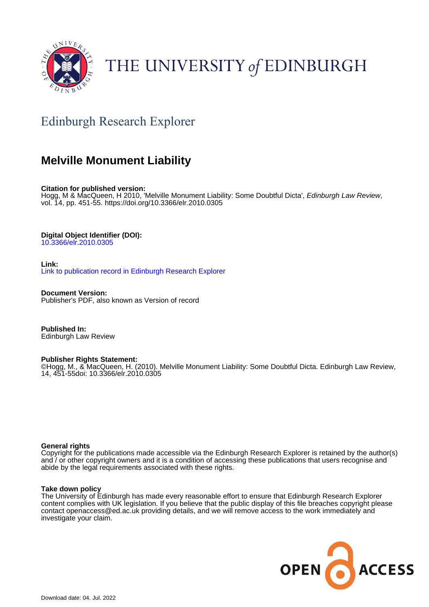

# THE UNIVERSITY of EDINBURGH

# Edinburgh Research Explorer

# **Melville Monument Liability**

**Citation for published version:**

Hogg, M & MacQueen, H 2010, 'Melville Monument Liability: Some Doubtful Dicta', Edinburgh Law Review, vol. 14, pp. 451-55.<https://doi.org/10.3366/elr.2010.0305>

## **Digital Object Identifier (DOI):**

[10.3366/elr.2010.0305](https://doi.org/10.3366/elr.2010.0305)

**Link:** [Link to publication record in Edinburgh Research Explorer](https://www.research.ed.ac.uk/en/publications/50eb80d7-a204-4b05-916e-0d81ea425dc4)

**Document Version:** Publisher's PDF, also known as Version of record

**Published In:** Edinburgh Law Review

## **Publisher Rights Statement:**

©Hogg, M., & MacQueen, H. (2010). Melville Monument Liability: Some Doubtful Dicta. Edinburgh Law Review, 14, 451-55doi: 10.3366/elr.2010.0305

### **General rights**

Copyright for the publications made accessible via the Edinburgh Research Explorer is retained by the author(s) and / or other copyright owners and it is a condition of accessing these publications that users recognise and abide by the legal requirements associated with these rights.

### **Take down policy**

The University of Edinburgh has made every reasonable effort to ensure that Edinburgh Research Explorer content complies with UK legislation. If you believe that the public display of this file breaches copyright please contact openaccess@ed.ac.uk providing details, and we will remove access to the work immediately and investigate your claim.

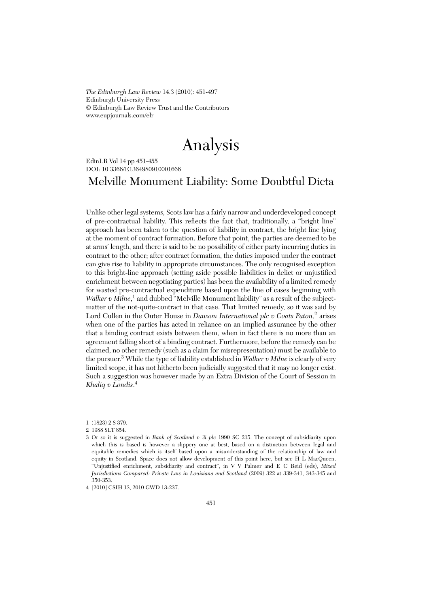*The Edinburgh Law Review* 14.3 (2010): 451-497 Edinburgh University Press © Edinburgh Law Review Trust and the Contributors www.eupjournals.com/elr

# Analysis

EdinLR Vol 14 pp 451-455 DOI: 10.3366/E1364980910001666

# Melville Monument Liability: Some Doubtful Dicta

Unlike other legal systems, Scots law has a fairly narrow and underdeveloped concept of pre-contractual liability. This reflects the fact that, traditionally, a "bright line" approach has been taken to the question of liability in contract, the bright line lying at the moment of contract formation. Before that point, the parties are deemed to be at arms' length, and there is said to be no possibility of either party incurring duties in contract to the other; after contract formation, the duties imposed under the contract can give rise to liability in appropriate circumstances. The only recognised exception to this bright-line approach (setting aside possible liabilities in delict or unjustified enrichment between negotiating parties) has been the availability of a limited remedy for wasted pre-contractual expenditure based upon the line of cases beginning with *Walker v Milne*,<sup>1</sup> and dubbed "Melville Monument liability" as a result of the subjectmatter of the not-quite-contract in that case. That limited remedy, so it was said by Lord Cullen in the Outer House in *Dawson International plc v Coats Paton*,<sup>2</sup> arises when one of the parties has acted in reliance on an implied assurance by the other that a binding contract exists between them, when in fact there is no more than an agreement falling short of a binding contract. Furthermore, before the remedy can be claimed, no other remedy (such as a claim for misrepresentation) must be available to the pursuer.3 While the type of liability established in *Walker v Milne* is clearly of very limited scope, it has not hitherto been judicially suggested that it may no longer exist. Such a suggestion was however made by an Extra Division of the Court of Session in *Khaliq v Londis*. 4

<sup>1 (1823) 2</sup> S 379.

<sup>2 1988</sup> SLT 854.

<sup>3</sup> Or so it is suggested in *Bank of Scotland v 3i plc* 1990 SC 215. The concept of subsidiarity upon which this is based is however a slippery one at best, based on a distinction between legal and equitable remedies which is itself based upon a misunderstanding of the relationship of law and equity in Scotland. Space does not allow development of this point here, but see H L MacQueen, "Unjustified enrichment, subsidiarity and contract", in V V Palmer and E C Reid (eds), *Mixed Jurisdictions Compared: Private Law in Louisiana and Scotland* (2009) 322 at 339-341, 343-345 and 350-353.

<sup>4 [2010]</sup> CSIH 13, 2010 GWD 13-237.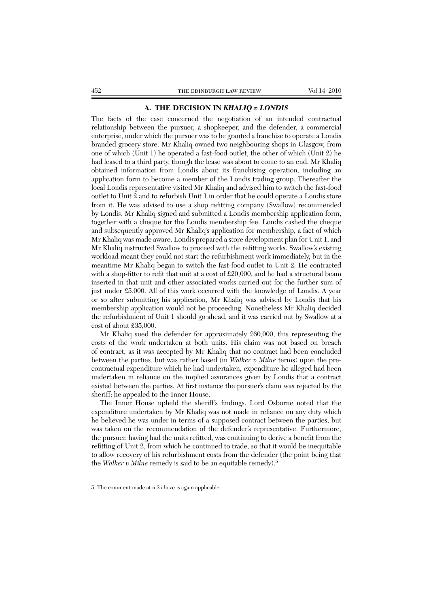#### **A. THE DECISION IN** *KHALIQ v LONDIS*

The facts of the case concerned the negotiation of an intended contractual relationship between the pursuer, a shopkeeper, and the defender, a commercial enterprise, under which the pursuer was to be granted a franchise to operate a Londis branded grocery store. Mr Khaliq owned two neighbouring shops in Glasgow, from one of which (Unit 1) he operated a fast-food outlet, the other of which (Unit 2) he had leased to a third party, though the lease was about to come to an end. Mr Khaliq obtained information from Londis about its franchising operation, including an application form to become a member of the Londis trading group. Thereafter the local Londis representative visited Mr Khaliq and advised him to switch the fast-food outlet to Unit 2 and to refurbish Unit 1 in order that he could operate a Londis store from it. He was advised to use a shop refitting company (Swallow) recommended by Londis. Mr Khaliq signed and submitted a Londis membership application form, together with a cheque for the Londis membership fee. Londis cashed the cheque and subsequently approved Mr Khaliq's application for membership, a fact of which Mr Khaliq was made aware. Londis prepared a store development plan for Unit 1, and Mr Khaliq instructed Swallow to proceed with the refitting works. Swallow's existing workload meant they could not start the refurbishment work immediately, but in the meantime Mr Khaliq began to switch the fast-food outlet to Unit 2. He contracted with a shop-fitter to refit that unit at a cost of £20,000, and he had a structural beam inserted in that unit and other associated works carried out for the further sum of just under £5,000. All of this work occurred with the knowledge of Londis. A year or so after submitting his application, Mr Khaliq was advised by Londis that his membership application would not be proceeding. Nonetheless Mr Khaliq decided the refurbishment of Unit 1 should go ahead, and it was carried out by Swallow at a cost of about £35,000.

Mr Khaliq sued the defender for approximately £60,000, this representing the costs of the work undertaken at both units. His claim was not based on breach of contract, as it was accepted by Mr Khaliq that no contract had been concluded between the parties, but was rather based (in *Walker v Milne* terms) upon the precontractual expenditure which he had undertaken, expenditure he alleged had been undertaken in reliance on the implied assurances given by Londis that a contract existed between the parties. At first instance the pursuer's claim was rejected by the sheriff; he appealed to the Inner House.

The Inner House upheld the sheriff's findings. Lord Osborne noted that the expenditure undertaken by Mr Khaliq was not made in reliance on any duty which he believed he was under in terms of a supposed contract between the parties, but was taken on the recommendation of the defender's representative. Furthermore, the pursuer, having had the units refitted, was continuing to derive a benefit from the refitting of Unit 2, from which he continued to trade, so that it would be inequitable to allow recovery of his refurbishment costs from the defender (the point being that the *Walker v Milne* remedy is said to be an equitable remedy).5

<sup>5</sup> The comment made at n 3 above is again applicable.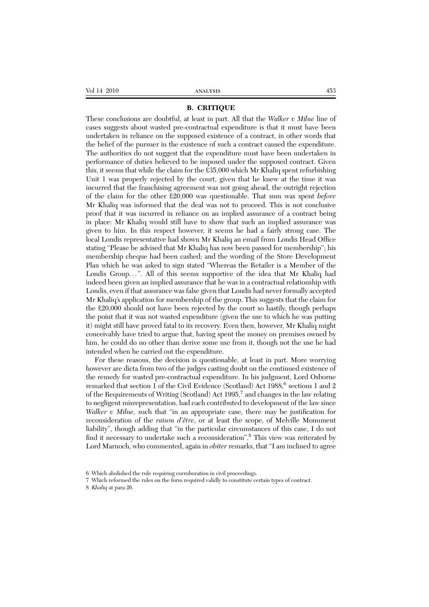#### **B. CRITIQUE**

These conclusions are doubtful, at least in part. All that the *Walker v Milne* line of cases suggests about wasted pre-contractual expenditure is that it must have been undertaken in reliance on the supposed existence of a contract, in other words that the belief of the pursuer in the existence of such a contract caused the expenditure. The authorities do not suggest that the expenditure must have been undertaken in performance of duties believed to be imposed under the supposed contract. Given this, it seems that while the claim for the £35,000 which Mr Khaliq spent refurbishing Unit 1 was properly rejected by the court, given that he knew at the time it was incurred that the franchising agreement was not going ahead, the outright rejection of the claim for the other £20,000 was questionable. That sum was spent *before* Mr Khaliq was informed that the deal was not to proceed. This is not conclusive proof that it was incurred in reliance on an implied assurance of a contract being in place: Mr Khaliq would still have to show that such an implied assurance was given to him. In this respect however, it seems he had a fairly strong case. The local Londis representative had shown Mr Khaliq an email from Londis Head Office stating "Please be advised that Mr Khaliq has now been passed for membership"; his membership cheque had been cashed; and the wording of the Store Development Plan which he was asked to sign stated "Whereas the Retailer is a Member of the Londis Group...". All of this seems supportive of the idea that Mr Khaliq had indeed been given an implied assurance that he was in a contractual relationship with Londis, even if that assurance was false given that Londis had never formally accepted Mr Khaliq's application for membership of the group. This suggests that the claim for the £20,000 should not have been rejected by the court so hastily, though perhaps the point that it was not wasted expenditure (given the use to which he was putting it) might still have proved fatal to its recovery. Even then, however, Mr Khaliq might conceivably have tried to argue that, having spent the money on premises owned by him, he could do no other than derive some use from it, though not the use he had intended when he carried out the expenditure.

For these reasons, the decision is questionable, at least in part. More worrying however are dicta from two of the judges casting doubt on the continued existence of the remedy for wasted pre-contractual expenditure. In his judgment, Lord Osborne remarked that section 1 of the Civil Evidence (Scotland) Act 1988,<sup>6</sup> sections 1 and 2 of the Requirements of Writing (Scotland) Act  $1995<sup>7</sup>$  and changes in the law relating to negligent misrepresentation, had each contributed to development of the law since *Walker v Milne,* such that "in an appropriate case, there may be justification for reconsideration of the *raison d'être*, or at least the scope, of Melville Monument liability", though adding that "in the particular circumstances of this case, I do not find it necessary to undertake such a reconsideration".8 This view was reiterated by Lord Marnoch, who commented, again in *obiter* remarks, that "I am inclined to agree

<sup>6</sup> Which abolished the rule requiring corroboration in civil proceedings.

<sup>7</sup> Which reformed the rules on the form required validly to constitute certain types of contract.

<sup>8</sup> *Khaliq* at para 26.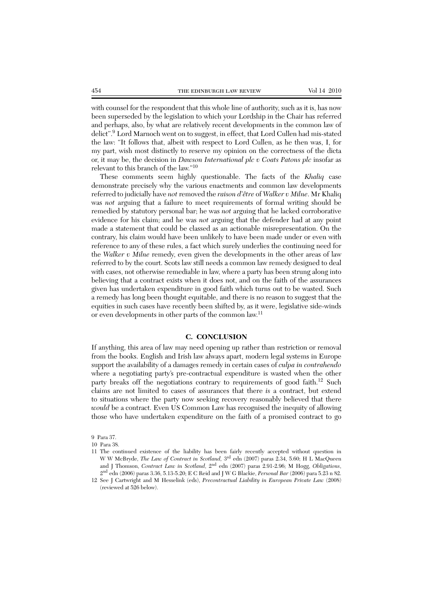with counsel for the respondent that this whole line of authority, such as it is, has now been superseded by the legislation to which your Lordship in the Chair has referred and perhaps, also, by what are relatively recent developments in the common law of delict".<sup>9</sup> Lord Marnoch went on to suggest, in effect, that Lord Cullen had mis-stated the law: "It follows that, albeit with respect to Lord Cullen, as he then was, I, for my part, wish most distinctly to reserve my opinion on the correctness of the dicta or, it may be, the decision in *Dawson International plc v Coats Patons plc* insofar as relevant to this branch of the law."10

These comments seem highly questionable. The facts of the *Khaliq* case demonstrate precisely why the various enactments and common law developments referred to judicially have *not* removed the *raison d'être* of *Walker v Milne*. Mr Khaliq was *not* arguing that a failure to meet requirements of formal writing should be remedied by statutory personal bar; he was *not* arguing that he lacked corroborative evidence for his claim; and he was *not* arguing that the defender had at any point made a statement that could be classed as an actionable misrepresentation. On the contrary, his claim would have been unlikely to have been made under or even with reference to any of these rules, a fact which surely underlies the continuing need for the *Walker v Milne* remedy, even given the developments in the other areas of law referred to by the court. Scots law still needs a common law remedy designed to deal with cases, not otherwise remediable in law, where a party has been strung along into believing that a contract exists when it does not, and on the faith of the assurances given has undertaken expenditure in good faith which turns out to be wasted. Such a remedy has long been thought equitable, and there is no reason to suggest that the equities in such cases have recently been shifted by, as it were, legislative side-winds or even developments in other parts of the common law.11

#### **C. CONCLUSION**

If anything, this area of law may need opening up rather than restriction or removal from the books. English and Irish law always apart, modern legal systems in Europe support the availability of a damages remedy in certain cases of *culpa in contrahendo* where a negotiating party's pre-contractual expenditure is wasted when the other party breaks off the negotiations contrary to requirements of good faith.<sup>12</sup> Such claims are not limited to cases of assurances that there *is* a contract, but extend to situations where the party now seeking recovery reasonably believed that there *would* be a contract. Even US Common Law has recognised the inequity of allowing those who have undertaken expenditure on the faith of a promised contract to go

9 Para 37.

- 11 The continued existence of the liability has been fairly recently accepted without question in W W McBryde, *The Law of Contract in Scotland*, 3<sup>rd</sup> edn (2007) paras 2.34, 5.60; H L MacQueen and J Thomson, *Contract Law in Scotland,* 2nd edn (2007) paras 2.91-2.96; M Hogg, *Obligations*, 2nd edn (2006) paras 3.36, 5.13-5.20; E C Reid and J W G Blackie, *Personal Bar* (2006) para 5.23 n 82.
- 12 See J Cartwright and M Hesselink (eds), *Precontractual Liability in European Private Law* (2008) (reviewed at 526 below).

<sup>10</sup> Para 38.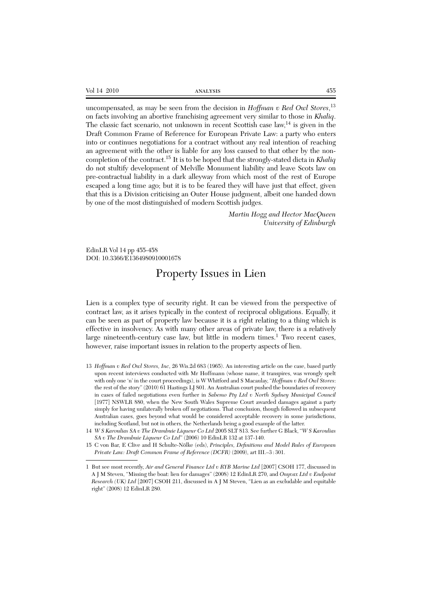| Vol<br>71<br>$\Delta$<br>. | $    -$<br>14 J J J J J J | $- -$<br>エンセ |
|----------------------------|---------------------------|--------------|
|                            |                           |              |

uncompensated, as may be seen from the decision in *Hoffman v Red Owl Stores*, 13 on facts involving an abortive franchising agreement very similar to those in *Khaliq*. The classic fact scenario, not unknown in recent Scottish case  $\text{law}^{\{14\}}$  is given in the Draft Common Frame of Reference for European Private Law: a party who enters into or continues negotiations for a contract without any real intention of reaching an agreement with the other is liable for any loss caused to that other by the noncompletion of the contract.<sup>15</sup> It is to be hoped that the strongly-stated dicta in *Khaliq* do not stultify development of Melville Monument liability and leave Scots law on pre-contractual liability in a dark alleyway from which most of the rest of Europe escaped a long time ago; but it is to be feared they will have just that effect, given that this is a Division criticising an Outer House judgment, albeit one handed down by one of the most distinguished of modern Scottish judges.

> *Martin Hogg and Hector MacQueen University of Edinburgh*

EdinLR Vol 14 pp 455-458 DOI: 10.3366/E1364980910001678

# Property Issues in Lien

Lien is a complex type of security right. It can be viewed from the perspective of contract law, as it arises typically in the context of reciprocal obligations. Equally, it can be seen as part of property law because it is a right relating to a thing which is effective in insolvency. As with many other areas of private law, there is a relatively large nineteenth-century case law, but little in modern times.<sup>1</sup> Two recent cases, however, raise important issues in relation to the property aspects of lien.

- 13 *Hoffman v Red Owl Stores, Inc*, 26 Wis.2d 683 (1965). An interesting article on the case, based partly upon recent interviews conducted with Mr Hoffmann (whose name, it transpires, was wrongly spelt with only one 'n' in the court proceedings), is W Whitford and S Macaulay, "*Hoffman v Red Owl Stores*: the rest of the story" (2010) 61 Hastings LJ 801. An Australian court pushed the boundaries of recovery in cases of failed negotiations even further in *Sabemo Pty Ltd v North Sydney Municipal Council* [1977] NSWLR 880, when the New South Wales Supreme Court awarded damages against a party simply for having unilaterally broken off negotiations. That conclusion, though followed in subsequent Australian cases, goes beyond what would be considered acceptable recovery in some jurisdictions, including Scotland, but not in others, the Netherlands being a good example of the latter.
- 14 *W S Karoulias SA v The Drambuie Liqueur Co Ltd* 2005 SLT 813. See further G Black, "*W S Karoulias SA v The Drambuie Liqueur Co Ltd*" (2006) 10 EdinLR 132 at 137-140.
- 15 C von Bar, E Clive and H Schulte-Nölke (eds), *Principles, Definitions and Model Rules of European Private Law: Draft Common Frame of Reference (DCFR)* (2009), art III.–3 : 301.

<sup>1</sup> But see most recently, *Air and General Finance Ltd v RYB Marine Ltd* [2007] CSOH 177, discussed in A J M Steven, "Missing the boat: lien for damages" (2008) 12 EdinLR 270, and *Onyvax Ltd v Endpoint Research (UK) Ltd* [2007] CSOH 211, discussed in A J M Steven, "Lien as an excludable and equitable right" (2008) 12 EdinLR 280.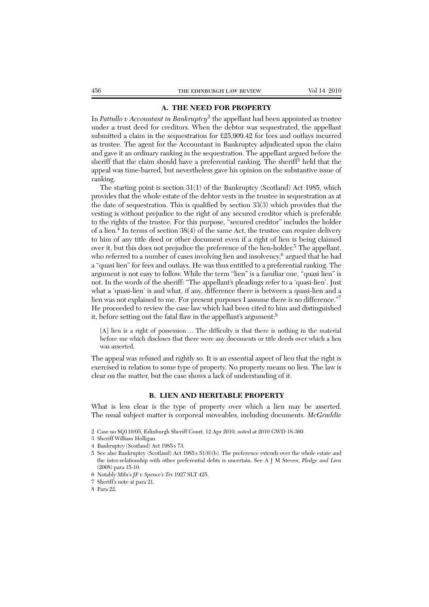### **A. THE NEED FOR PROPERTY**

In *Pattullo v Accountant in Bankruptcy*<sup>2</sup> the appellant had been appointed as trustee under a trust deed for creditors. When the debtor was sequestrated, the appellant submitted a claim in the sequestration for £25,909.42 for fees and outlays incurred as trustee. The agent for the Accountant in Bankruptcy adjudicated upon the claim and gave it an ordinary ranking in the sequestration. The appellant argued before the sheriff that the claim should have a preferential ranking. The sheriff3 held that the appeal was time-barred, but nevertheless gave his opinion on the substantive issue of ranking.

The starting point is section  $31(1)$  of the Bankruptcy (Scotland) Act 1985, which provides that the whole estate of the debtor vests in the trustee in sequestration as at the date of sequestration. This is qualified by section 33(3) which provides that the vesting is without prejudice to the right of any secured creditor which is preferable to the rights of the trustee. For this purpose, "secured creditor" includes the holder of a lien.<sup>4</sup> In terms of section 38(4) of the same Act, the trustee can require delivery to him of any title deed or other document even if a right of lien is being claimed over it, but this does not prejudice the preference of the lien-holder.<sup>5</sup> The appellant, who referred to a number of cases involving lien and insolvency,<sup>6</sup> argued that he had a "quasi lien" for fees and outlays. He was thus entitled to a preferential ranking. The argument is not easy to follow. While the term "lien" is a familiar one, "quasi lien" is not. In the words of the sheriff: "The appellant's pleadings refer to a 'quasi-lien'. Just what a 'quasi-lien' is and what, if any, difference there is between a quasi-lien and a lien was not explained to me. For present purposes I assume there is no difference."<sup>7</sup> He proceeded to review the case law which had been cited to him and distinguished it, before setting out the fatal flaw in the appellant's argument:<sup>8</sup>

[A] lien is a right of possession ... The difficulty is that there is nothing in the material before me which discloses that there were any documents or title deeds over which a lien was asserted.

The appeal was refused and rightly so. It is an essential aspect of lien that the right is exercised in relation to some type of property. No property means no lien. The law is clear on the matter, but the case shows a lack of understanding of it.

#### **B. LIEN AND HERITABLE PROPERTY**

What is less clear is the type of property over which a lien may be asserted. The usual subject matter is corporeal moveables, including documents. *McGraddie*

- 3 Sheriff William Holligan.
- 4 Bankruptcy (Scotland) Act 1985 s 73.
- 5 See also Bankruptcy (Scotland) Act 1985 s 51(6)(b). The preference extends over the whole estate and the inter-relationship with other preferential debts is uncertain. See A J M Steven, *Pledge and Lien* (2008) para 15-10.
- 6 Notably *Miln's JF v Spence's Trs* 1927 SLT 425.
- 7 Sheriff's note at para 21.

<sup>2</sup> Case no SQ110/05, Edinburgh Sheriff Court, 12 Apr 2010, noted at 2010 GWD 18-360.

<sup>8</sup> Para 22.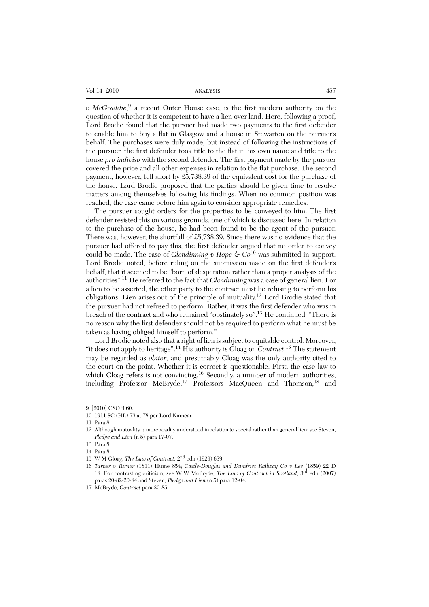| 457 |
|-----|
|     |

*v McGraddie*, <sup>9</sup> a recent Outer House case, is the first modern authority on the question of whether it is competent to have a lien over land. Here, following a proof, Lord Brodie found that the pursuer had made two payments to the first defender to enable him to buy a flat in Glasgow and a house in Stewarton on the pursuer's behalf. The purchases were duly made, but instead of following the instructions of the pursuer, the first defender took title to the flat in his own name and title to the house *pro indiviso* with the second defender. The first payment made by the pursuer covered the price and all other expenses in relation to the flat purchase. The second payment, however, fell short by £5,738.39 of the equivalent cost for the purchase of the house. Lord Brodie proposed that the parties should be given time to resolve matters among themselves following his findings. When no common position was reached, the case came before him again to consider appropriate remedies.

The pursuer sought orders for the properties to be conveyed to him. The first defender resisted this on various grounds, one of which is discussed here. In relation to the purchase of the house, he had been found to be the agent of the pursuer. There was, however, the shortfall of £5,738.39. Since there was no evidence that the pursuer had offered to pay this, the first defender argued that no order to convey could be made. The case of *Glendinning v Hope*  $\&$   $C_0$ <sup>10</sup> was submitted in support. Lord Brodie noted, before ruling on the submission made on the first defender's behalf, that it seemed to be "born of desperation rather than a proper analysis of the authorities".11 He referred to the fact that *Glendinning* was a case of general lien. For a lien to be asserted, the other party to the contract must be refusing to perform his obligations. Lien arises out of the principle of mutuality.12 Lord Brodie stated that the pursuer had not refused to perform. Rather, it was the first defender who was in breach of the contract and who remained "obstinately so".<sup>13</sup> He continued: "There is no reason why the first defender should not be required to perform what he must be taken as having obliged himself to perform."

Lord Brodie noted also that a right of lien is subject to equitable control. Moreover, "it does not apply to heritage".<sup>14</sup> His authority is Gloag on *Contract*. <sup>15</sup> The statement may be regarded as *obiter*, and presumably Gloag was the only authority cited to the court on the point. Whether it is correct is questionable. First, the case law to which Gloag refers is not convincing.<sup>16</sup> Secondly, a number of modern authorities, including Professor McBryde,<sup>17</sup> Professors MacQueen and Thomson,<sup>18</sup> and

<sup>9 [2010]</sup> CSOH 60.

<sup>10 1911</sup> SC (HL) 73 at 78 per Lord Kinnear.

<sup>11</sup> Para 8.

<sup>12</sup> Although mutuality is more readily understood in relation to special rather than general lien: see Steven, *Pledge and Lien* (n 5) para 17-07.

<sup>13</sup> Para 8.

<sup>14</sup> Para 8.

<sup>15</sup> W M Gloag, *The Law of Contract,* 2nd edn (1929) 639.

<sup>16</sup> *Turner v Turner* (1811) Hume 854; *Castle-Douglas and Dumfries Railway Co v Lee* (1859) 22 D 18. For contrasting criticism, see W W McBryde, *The Law of Contract in Scotland*, 3rd edn (2007) paras 20-82-20-84 and Steven, *Pledge and Lien* (n 5) para 12-04.

<sup>17</sup> McBryde, *Contract* para 20-85.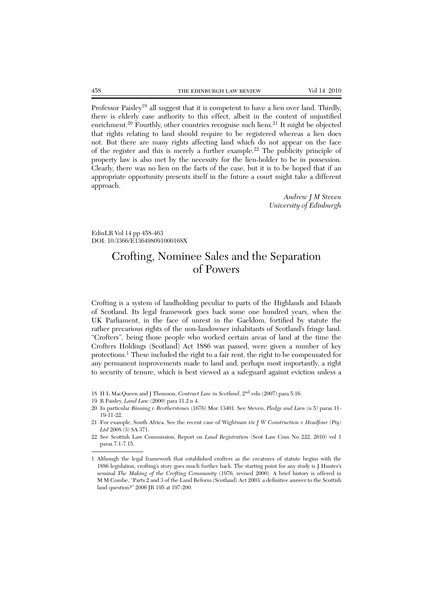Professor Paisley<sup>19</sup> all suggest that it is competent to have a lien over land. Thirdly, there is elderly case authority to this effect, albeit in the context of unjustified enrichment.<sup>20</sup> Fourthly, other countries recognise such liens.<sup>21</sup> It might be objected that rights relating to land should require to be registered whereas a lien does not. But there are many rights affecting land which do not appear on the face of the register and this is merely a further example.<sup>22</sup> The publicity principle of property law is also met by the necessity for the lien-holder to be in possession. Clearly, there was no lien on the facts of the case, but it is to be hoped that if an appropriate opportunity presents itself in the future a court might take a different approach.

> *Andrew J M Steven University of Edinburgh*

EdinLR Vol 14 pp 458-463 DOI: 10.3366/E136498091000168X

# Crofting, Nominee Sales and the Separation of Powers

Crofting is a system of landholding peculiar to parts of the Highlands and Islands of Scotland. Its legal framework goes back some one hundred years, when the UK Parliament, in the face of unrest in the Gaeldom, fortified by statute the rather precarious rights of the non-landowner inhabitants of Scotland's fringe land. "Crofters", being those people who worked certain areas of land at the time the Crofters Holdings (Scotland) Act 1886 was passed, were given a number of key protections.<sup>1</sup> These included the right to a fair rent, the right to be compensated for any permanent improvements made to land and, perhaps most importantly, a right to security of tenure, which is best viewed as a safeguard against eviction unless a

<sup>18</sup> H L MacQueen and J Thomson, *Contract Law in Scotland*, 2nd edn (2007) para 5.16.

<sup>19</sup> R Paisley, *Land Law* (2000) para 11.2 n 4.

<sup>20</sup> In particular *Binning v Brotherstones* (1676) Mor 13401. See Steven, *Pledge and Lien* (n 5) paras 11- 19-11-22.

<sup>21</sup> For example, South Africa. See the recent case of *Wightman t/a J W Construction v Headfour (Pty) Ltd* 2008 (3) SA 371.

<sup>22</sup> See Scottish Law Commission, Report on *Land Registration* (Scot Law Com No 222, 2010) vol 1 paras 7.1-7.15.

<sup>1</sup> Although the legal framework that established crofters as the creatures of statute begins with the 1886 legislation, crofting's story goes much further back. The starting point for any study is J Hunter's seminal *The Making of the Crofting Community* (1976, revised 2000). A brief history is offered in M M Combe, "Parts 2 and 3 of the Land Reform (Scotland) Act 2003: a definitive answer to the Scottish land question?" 2006 JR 195 at 197-200.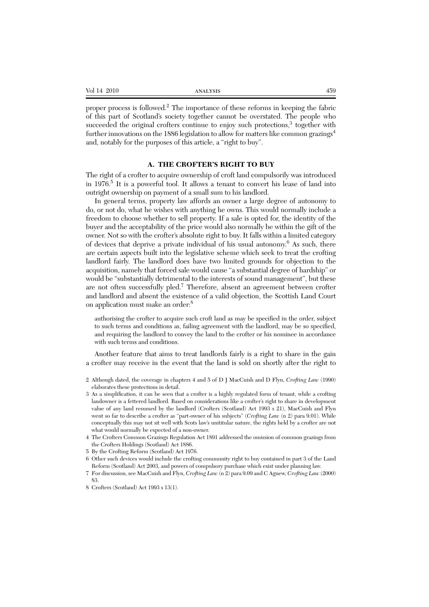| Vol<br>20<br>$\Delta$<br>. | $    -$<br>л. | --<br>ェンマ |
|----------------------------|---------------|-----------|
|                            |               |           |
|                            |               |           |
|                            |               |           |

proper process is followed.<sup>2</sup> The importance of these reforms in keeping the fabric of this part of Scotland's society together cannot be overstated. The people who succeeded the original crofters continue to enjoy such protections, $3$  together with further innovations on the 1886 legislation to allow for matters like common grazings<sup>4</sup> and, notably for the purposes of this article, a "right to buy".

### **A. THE CROFTER'S RIGHT TO BUY**

The right of a crofter to acquire ownership of croft land compulsorily was introduced in 1976.<sup>5</sup> It is a powerful tool. It allows a tenant to convert his lease of land into outright ownership on payment of a small sum to his landlord.

In general terms, property law affords an owner a large degree of autonomy to do, or not do, what he wishes with anything he owns. This would normally include a freedom to choose whether to sell property. If a sale is opted for, the identity of the buyer and the acceptability of the price would also normally be within the gift of the owner. Not so with the crofter's absolute right to buy. It falls within a limited category of devices that deprive a private individual of his usual autonomy.<sup>6</sup> As such, there are certain aspects built into the legislative scheme which seek to treat the crofting landlord fairly. The landlord does have two limited grounds for objection to the acquisition, namely that forced sale would cause "a substantial degree of hardship" or would be "substantially detrimental to the interests of sound management", but these are not often successfully pled.<sup>7</sup> Therefore, absent an agreement between crofter and landlord and absent the existence of a valid objection, the Scottish Land Court on application must make an order:<sup>8</sup>

authorising the crofter to acquire such croft land as may be specified in the order, subject to such terms and conditions as, failing agreement with the landlord, may be so specified, and requiring the landlord to convey the land to the crofter or his nominee in accordance with such terms and conditions.

Another feature that aims to treat landlords fairly is a right to share in the gain a crofter may receive in the event that the land is sold on shortly after the right to

- 2 Although dated, the coverage in chapters 4 and 5 of D J MacCuish and D Flyn, *Crofting Law* (1990) elaborates these protections in detail.
- 3 As a simplification, it can be seen that a crofter is a highly regulated form of tenant, while a crofting landowner is a fettered landlord. Based on considerations like a crofter's right to share in development value of any land resumed by the landlord (Crofters (Scotland) Act 1993 s 21), MacCuish and Flyn went so far to describe a crofter as "part-owner of his subjects" (*Crofting Law* (n 2) para 9.01). While conceptually this may not sit well with Scots law's unititular nature, the rights held by a crofter are not what would normally be expected of a non-owner.
- 4 The Crofters Common Grazings Regulation Act 1891 addressed the omission of common grazings from the Crofters Holdings (Scotland) Act 1886.
- 5 By the Crofting Reform (Scotland) Act 1976.
- 6 Other such devices would include the crofting community right to buy contained in part 3 of the Land Reform (Scotland) Act 2003, and powers of compulsory purchase which exist under planning law.
- 7 For discussion, see MacCuish and Flyn, *Crofting Law* (n 2) para 9.09 and C Agnew, *Crofting Law* (2000) 83.
- 8 Crofters (Scotland) Act 1993 s 13(1).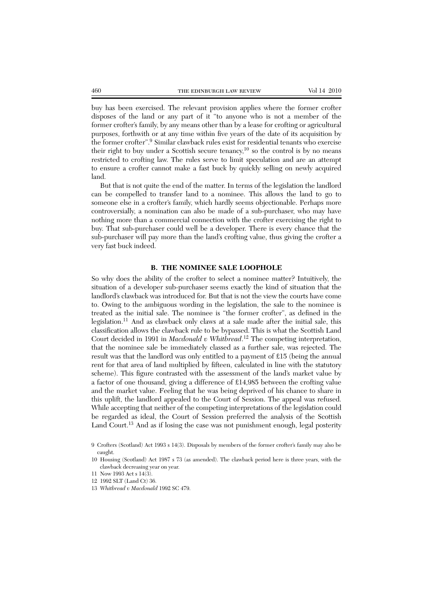buy has been exercised. The relevant provision applies where the former crofter disposes of the land or any part of it "to anyone who is not a member of the former crofter's family, by any means other than by a lease for crofting or agricultural purposes, forthwith or at any time within five years of the date of its acquisition by the former crofter".9 Similar clawback rules exist for residential tenants who exercise their right to buy under a Scottish secure tenancy, $^{10}$  so the control is by no means restricted to crofting law. The rules serve to limit speculation and are an attempt to ensure a crofter cannot make a fast buck by quickly selling on newly acquired land.

But that is not quite the end of the matter. In terms of the legislation the landlord can be compelled to transfer land to a nominee. This allows the land to go to someone else in a crofter's family, which hardly seems objectionable. Perhaps more controversially, a nomination can also be made of a sub-purchaser, who may have nothing more than a commercial connection with the crofter exercising the right to buy. That sub-purchaser could well be a developer. There is every chance that the sub-purchaser will pay more than the land's crofting value, thus giving the crofter a very fast buck indeed.

#### **B. THE NOMINEE SALE LOOPHOLE**

So why does the ability of the crofter to select a nominee matter? Intuitively, the situation of a developer sub-purchaser seems exactly the kind of situation that the landlord's clawback was introduced for. But that is not the view the courts have come to. Owing to the ambiguous wording in the legislation, the sale to the nominee is treated as the initial sale. The nominee is "the former crofter", as defined in the legislation.11 And as clawback only claws at a sale made after the initial sale, this classification allows the clawback rule to be bypassed. This is what the Scottish Land Court decided in 1991 in *Macdonald v Whitbread*. <sup>12</sup> The competing interpretation, that the nominee sale be immediately classed as a further sale, was rejected. The result was that the landlord was only entitled to a payment of £15 (being the annual rent for that area of land multiplied by fifteen, calculated in line with the statutory scheme). This figure contrasted with the assessment of the land's market value by a factor of one thousand, giving a difference of £14,985 between the crofting value and the market value. Feeling that he was being deprived of his chance to share in this uplift, the landlord appealed to the Court of Session. The appeal was refused. While accepting that neither of the competing interpretations of the legislation could be regarded as ideal, the Court of Session preferred the analysis of the Scottish Land Court.<sup>13</sup> And as if losing the case was not punishment enough, legal posterity

<sup>9</sup> Crofters (Scotland) Act 1993 s 14(3). Disposals by members of the former crofter's family may also be caught.

<sup>10</sup> Housing (Scotland) Act 1987 s 73 (as amended). The clawback period here is three years, with the clawback decreasing year on year.

<sup>11</sup> Now 1993 Act s 14(3).

<sup>12 1992</sup> SLT (Land Ct) 36.

<sup>13</sup> *Whitbread v Macdonald* 1992 SC 479.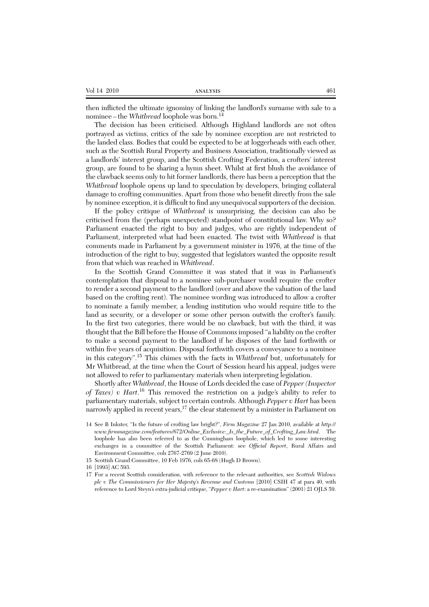| Vol 14 2010 | ANALYSIS | 461 |
|-------------|----------|-----|
|-------------|----------|-----|

then inflicted the ultimate ignominy of linking the landlord's surname with sale to a nominee – the *Whitbread* loophole was born.<sup>14</sup>

The decision has been criticised. Although Highland landlords are not often portrayed as victims, critics of the sale by nominee exception are not restricted to the landed class. Bodies that could be expected to be at loggerheads with each other, such as the Scottish Rural Property and Business Association, traditionally viewed as a landlords' interest group, and the Scottish Crofting Federation, a crofters' interest group, are found to be sharing a hymn sheet. Whilst at first blush the avoidance of the clawback seems only to hit former landlords, there has been a perception that the *Whitbread* loophole opens up land to speculation by developers, bringing collateral damage to crofting communities. Apart from those who benefit directly from the sale by nominee exception, it is difficult to find any unequivocal supporters of the decision.

If the policy critique of *Whitbread* is unsurprising, the decision can also be criticised from the (perhaps unexpected) standpoint of constitutional law. Why so? Parliament enacted the right to buy and judges, who are rightly independent of Parliament, interpreted what had been enacted. The twist with *Whitbread* is that comments made in Parliament by a government minister in 1976, at the time of the introduction of the right to buy, suggested that legislators wanted the opposite result from that which was reached in *Whitbread*.

In the Scottish Grand Committee it was stated that it was in Parliament's contemplation that disposal to a nominee sub-purchaser would require the crofter to render a second payment to the landlord (over and above the valuation of the land based on the crofting rent). The nominee wording was introduced to allow a crofter to nominate a family member, a lending institution who would require title to the land as security, or a developer or some other person outwith the crofter's family. In the first two categories, there would be no clawback, but with the third, it was thought that the Bill before the House of Commons imposed "a liability on the crofter to make a second payment to the landlord if he disposes of the land forthwith or within five years of acquisition. Disposal forthwith covers a conveyance to a nominee in this category".15 This chimes with the facts in *Whitbread* but, unfortunately for Mr Whitbread, at the time when the Court of Session heard his appeal, judges were not allowed to refer to parliamentary materials when interpreting legislation.

Shortly after *Whitbread*, the House of Lords decided the case of *Pepper (Inspector of Taxes) v Hart*. <sup>16</sup> This removed the restriction on a judge's ability to refer to parliamentary materials, subject to certain controls. Although *Pepper v Hart* has been narrowly applied in recent years,<sup>17</sup> the clear statement by a minister in Parliament on

<sup>14</sup> See B Inkster, "Is the future of crofting law bright?", *Firm Magazine* 27 Jan 2010, available at *http:// www.firmmagazine.com/features/672/Online\_Exclusive:\_Is\_the\_Future\_of\_Crofting\_Law.html*. The loophole has also been referred to as the Cunningham loophole, which led to some interesting exchanges in a committee of the Scottish Parliament: see *Official Report*, Rural Affairs and Environment Committee, cols 2767-2769 (2 June 2010).

<sup>15</sup> Scottish Grand Committee, 10 Feb 1976, cols 65-68 (Hugh D Brown).

<sup>16 [1993]</sup> AC 593.

<sup>17</sup> For a recent Scottish consideration, with reference to the relevant authorities, see *Scottish Widows plc v The Commissioners for Her Majesty's Revenue and Customs* [2010] CSIH 47 at para 40, with reference to Lord Steyn's extra-judicial critique, "*Pepper v Hart*: a re-examination" (2001) 21 OJLS 59.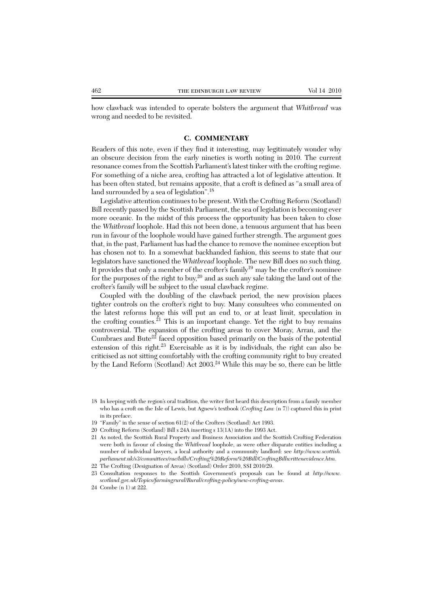how clawback was intended to operate bolsters the argument that *Whitbread* was wrong and needed to be revisited.

### **C. COMMENTARY**

Readers of this note, even if they find it interesting, may legitimately wonder why an obscure decision from the early nineties is worth noting in 2010. The current resonance comes from the Scottish Parliament's latest tinker with the crofting regime. For something of a niche area, crofting has attracted a lot of legislative attention. It has been often stated, but remains apposite, that a croft is defined as "a small area of land surrounded by a sea of legislation".<sup>18</sup>

Legislative attention continues to be present. With the Crofting Reform (Scotland) Bill recently passed by the Scottish Parliament, the sea of legislation is becoming ever more oceanic. In the midst of this process the opportunity has been taken to close the *Whitbread* loophole. Had this not been done, a tenuous argument that has been run in favour of the loophole would have gained further strength. The argument goes that, in the past, Parliament has had the chance to remove the nominee exception but has chosen not to. In a somewhat backhanded fashion, this seems to state that our legislators have sanctioned the *Whitbread* loophole. The new Bill does no such thing. It provides that only a member of the crofter's family<sup>19</sup> may be the crofter's nominee for the purposes of the right to buy,<sup>20</sup> and as such any sale taking the land out of the crofter's family will be subject to the usual clawback regime.

Coupled with the doubling of the clawback period, the new provision places tighter controls on the crofter's right to buy. Many consultees who commented on the latest reforms hope this will put an end to, or at least limit, speculation in the crofting counties. $^{21}$  This is an important change. Yet the right to buy remains controversial. The expansion of the crofting areas to cover Moray, Arran, and the Cumbraes and Bute $22$  faced opposition based primarily on the basis of the potential extension of this right.<sup>23</sup> Exercisable as it is by individuals, the right can also be criticised as not sitting comfortably with the crofting community right to buy created by the Land Reform (Scotland) Act 2003.<sup>24</sup> While this may be so, there can be little

- 18 In keeping with the region's oral tradition, the writer first heard this description from a family member who has a croft on the Isle of Lewis, but Agnew's textbook (*Crofting Law* (n 7)) captured this in print in its preface.
- 19 "Family" in the sense of section 61(2) of the Crofters (Scotland) Act 1993.
- 20 Crofting Reform (Scotland) Bill s 24A inserting s 13(1A) into the 1993 Act.
- 21 As noted, the Scottish Rural Property and Business Association and the Scottish Crofting Federation were both in favour of closing the *Whitbread* loophole, as were other disparate entities including a number of individual lawyers, a local authority and a community landlord: see *http://www.scottish. parliament.uk/s3/committees/rae/bills/Crofting%20Reform%20Bill/CroftingBillwrittenevidence.htm*.
- 22 The Crofting (Designation of Areas) (Scotland) Order 2010, SSI 2010/29.
- 23 Consultation responses to the Scottish Government's proposals can be found at *http://www. scotland.gov.uk/Topics/farmingrural/Rural/crofting-policy/new-crofting-areas*.
- 24 Combe (n 1) at 222.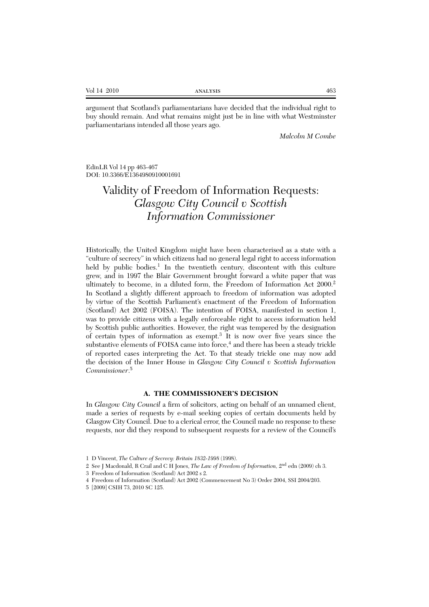| Vol 14 2010 | <b>ANALYSIS</b> | 463 |
|-------------|-----------------|-----|
|             |                 |     |

argument that Scotland's parliamentarians have decided that the individual right to buy should remain. And what remains might just be in line with what Westminster parliamentarians intended all those years ago.

*Malcolm M Combe*

EdinLR Vol 14 pp 463-467 DOI: 10.3366/E1364980910001691

# Validity of Freedom of Information Requests: *Glasgow City Council v Scottish Information Commissioner*

Historically, the United Kingdom might have been characterised as a state with a "culture of secrecy" in which citizens had no general legal right to access information held by public bodies.<sup>1</sup> In the twentieth century, discontent with this culture grew, and in 1997 the Blair Government brought forward a white paper that was ultimately to become, in a diluted form, the Freedom of Information Act 2000.<sup>2</sup> In Scotland a slightly different approach to freedom of information was adopted by virtue of the Scottish Parliament's enactment of the Freedom of Information (Scotland) Act 2002 (FOISA). The intention of FOISA, manifested in section 1, was to provide citizens with a legally enforceable right to access information held by Scottish public authorities. However, the right was tempered by the designation of certain types of information as exempt.<sup>3</sup> It is now over five years since the substantive elements of FOISA came into force, $4$  and there has been a steady trickle of reported cases interpreting the Act. To that steady trickle one may now add the decision of the Inner House in *Glasgow City Council v Scottish Information Commissioner*. 5

#### **A. THE COMMISSIONER'S DECISION**

In *Glasgow City Council* a firm of solicitors, acting on behalf of an unnamed client, made a series of requests by e-mail seeking copies of certain documents held by Glasgow City Council. Due to a clerical error, the Council made no response to these requests, nor did they respond to subsequent requests for a review of the Council's

<sup>1</sup> D Vincent, *The Culture of Secrecy: Britain 1832-1998* (1998).

<sup>2</sup> See J Macdonald, R Crail and C H Jones, *The Law of Freedom of Information,* 2nd edn (2009) ch 3.

<sup>3</sup> Freedom of Information (Scotland) Act 2002 s 2.

<sup>4</sup> Freedom of Information (Scotland) Act 2002 (Commencement No 3) Order 2004, SSI 2004/203.

<sup>5 [2009]</sup> CSIH 73, 2010 SC 125.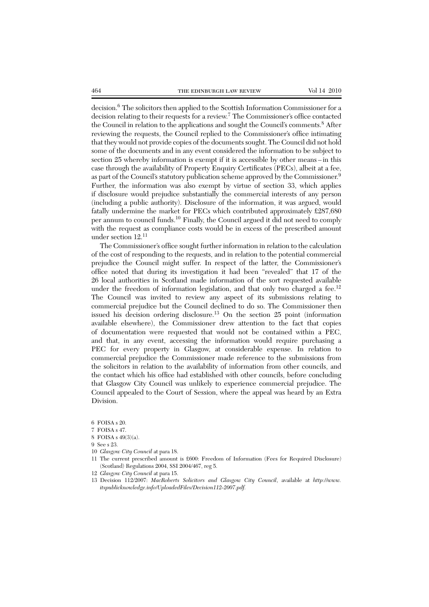decision.<sup>6</sup> The solicitors then applied to the Scottish Information Commissioner for a decision relating to their requests for a review.<sup>7</sup> The Commissioner's office contacted the Council in relation to the applications and sought the Council's comments.<sup>8</sup> After reviewing the requests, the Council replied to the Commissioner's office intimating that they would not provide copies of the documents sought. The Council did not hold some of the documents and in any event considered the information to be subject to section 25 whereby information is exempt if it is accessible by other means – in this case through the availability of Property Enquiry Certificates (PECs), albeit at a fee, as part of the Council's statutory publication scheme approved by the Commissioner.<sup>9</sup> Further, the information was also exempt by virtue of section 33, which applies if disclosure would prejudice substantially the commercial interests of any person (including a public authority). Disclosure of the information, it was argued, would fatally undermine the market for PECs which contributed approximately £287,680 per annum to council funds.<sup>10</sup> Finally, the Council argued it did not need to comply with the request as compliance costs would be in excess of the prescribed amount under section 12.11

The Commissioner's office sought further information in relation to the calculation of the cost of responding to the requests, and in relation to the potential commercial prejudice the Council might suffer. In respect of the latter, the Commissioner's office noted that during its investigation it had been "revealed" that 17 of the 26 local authorities in Scotland made information of the sort requested available under the freedom of information legislation, and that only two charged a fee.<sup>12</sup> The Council was invited to review any aspect of its submissions relating to commercial prejudice but the Council declined to do so. The Commissioner then issued his decision ordering disclosure.<sup>13</sup> On the section 25 point (information available elsewhere), the Commissioner drew attention to the fact that copies of documentation were requested that would not be contained within a PEC, and that, in any event, accessing the information would require purchasing a PEC for every property in Glasgow, at considerable expense. In relation to commercial prejudice the Commissioner made reference to the submissions from the solicitors in relation to the availability of information from other councils, and the contact which his office had established with other councils, before concluding that Glasgow City Council was unlikely to experience commercial prejudice. The Council appealed to the Court of Session, where the appeal was heard by an Extra Division.

8 FOISA s 49(3)(a).

9 See s 23.

- 10 *Glasgow City Council* at para 18.
- 11 The current prescribed amount is £600: Freedom of Information (Fees for Required Disclosure) (Scotland) Regulations 2004, SSI 2004/467, reg 5.
- 12 *Glasgow City Council* at para 15.

<sup>6</sup> FOISA s 20.

<sup>7</sup> FOISA s 47.

<sup>13</sup> Decision 112/2007: *MacRoberts Solicitors and Glasgow City Council*, available at *http://www. itspublicknowledge.info/UploadedFiles/Decision112-2007.pdf.*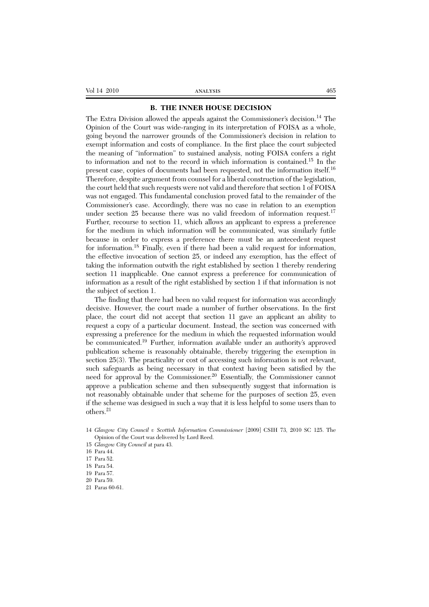#### **B. THE INNER HOUSE DECISION**

The Extra Division allowed the appeals against the Commissioner's decision.<sup>14</sup> The Opinion of the Court was wide-ranging in its interpretation of FOISA as a whole, going beyond the narrower grounds of the Commissioner's decision in relation to exempt information and costs of compliance. In the first place the court subjected the meaning of "information" to sustained analysis, noting FOISA confers a right to information and not to the record in which information is contained.15 In the present case, copies of documents had been requested, not the information itself.<sup>16</sup> Therefore, despite argument from counsel for a liberal construction of the legislation, the court held that such requests were not valid and therefore that section 1 of FOISA was not engaged. This fundamental conclusion proved fatal to the remainder of the Commissioner's case. Accordingly, there was no case in relation to an exemption under section 25 because there was no valid freedom of information request.<sup>17</sup> Further, recourse to section 11, which allows an applicant to express a preference for the medium in which information will be communicated, was similarly futile because in order to express a preference there must be an antecedent request for information.<sup>18</sup> Finally, even if there had been a valid request for information, the effective invocation of section 25, or indeed any exemption, has the effect of taking the information outwith the right established by section 1 thereby rendering section 11 inapplicable. One cannot express a preference for communication of information as a result of the right established by section 1 if that information is not the subject of section 1.

The finding that there had been no valid request for information was accordingly decisive. However, the court made a number of further observations. In the first place, the court did not accept that section 11 gave an applicant an ability to request a copy of a particular document. Instead, the section was concerned with expressing a preference for the medium in which the requested information would be communicated.<sup>19</sup> Further, information available under an authority's approved publication scheme is reasonably obtainable, thereby triggering the exemption in section 25(3). The practicality or cost of accessing such information is not relevant, such safeguards as being necessary in that context having been satisfied by the need for approval by the Commissioner.<sup>20</sup> Essentially, the Commissioner cannot approve a publication scheme and then subsequently suggest that information is not reasonably obtainable under that scheme for the purposes of section 25, even if the scheme was designed in such a way that it is less helpful to some users than to others.21

- 14 *Glasgow City Council v Scottish Information Commissioner* [2009] CSIH 73, 2010 SC 125. The Opinion of the Court was delivered by Lord Reed.
- 15 *Glasgow City Council* at para 43.
- 16 Para 44.

<sup>17</sup> Para 52.

<sup>18</sup> Para 54.

<sup>19</sup> Para 57.

<sup>20</sup> Para 59.

<sup>21</sup> Paras 60-61.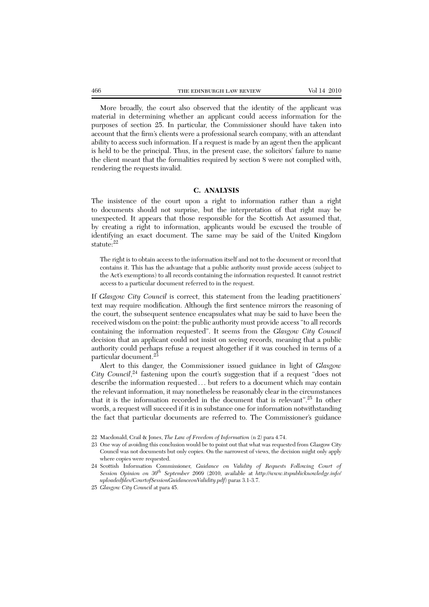More broadly, the court also observed that the identity of the applicant was material in determining whether an applicant could access information for the purposes of section 25. In particular, the Commissioner should have taken into account that the firm's clients were a professional search company, with an attendant ability to access such information. If a request is made by an agent then the applicant is held to be the principal. Thus, in the present case, the solicitors' failure to name the client meant that the formalities required by section 8 were not complied with, rendering the requests invalid.

#### **C. ANALYSIS**

The insistence of the court upon a right to information rather than a right to documents should not surprise, but the interpretation of that right may be unexpected. It appears that those responsible for the Scottish Act assumed that, by creating a right to information, applicants would be excused the trouble of identifying an exact document. The same may be said of the United Kingdom statute:<sup>22</sup>

The right is to obtain access to the information itself and not to the document or record that contains it. This has the advantage that a public authority must provide access (subject to the Act's exemptions) to all records containing the information requested. It cannot restrict access to a particular document referred to in the request.

If *Glasgow City Council* is correct, this statement from the leading practitioners' text may require modification. Although the first sentence mirrors the reasoning of the court, the subsequent sentence encapsulates what may be said to have been the received wisdom on the point: the public authority must provide access "to all records containing the information requested". It seems from the *Glasgow City Council* decision that an applicant could not insist on seeing records, meaning that a public authority could perhaps refuse a request altogether if it was couched in terms of a particular document.<sup>23</sup>

Alert to this danger, the Commissioner issued guidance in light of *Glasgow City Council*, <sup>24</sup> fastening upon the court's suggestion that if a request "does not describe the information requested . . . but refers to a document which may contain the relevant information, it may nonetheless be reasonably clear in the circumstances that it is the information recorded in the document that is relevant".25 In other words, a request will succeed if it is in substance one for information notwithstanding the fact that particular documents are referred to. The Commissioner's guidance

- 23 One way of avoiding this conclusion would be to point out that what was requested from Glasgow City Council was not documents but only copies. On the narrowest of views, the decision might only apply where copies were requested.
- 24 Scottish Information Commissioner, *Guidance on Validity of Requests Following Court of Session Opinion on 30th September 2009* (2010, available at *http://www.itspublicknowledge.info/ uploadedfiles/CourtofSessionGuidanceonValidity.pdf*) paras 3.1-3.7.

<sup>22</sup> Macdonald, Crail & Jones, *The Law of Freedom of Information* (n 2) para 4.74.

<sup>25</sup> *Glasgow City Council* at para 45.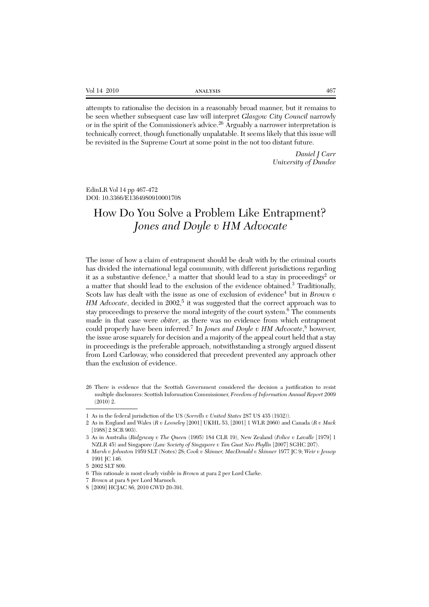| Vol 14 2010 | <b>ANALYSIS</b> | 467 |
|-------------|-----------------|-----|
|-------------|-----------------|-----|

attempts to rationalise the decision in a reasonably broad manner, but it remains to be seen whether subsequent case law will interpret *Glasgow City Council* narrowly or in the spirit of the Commissioner's advice.<sup>26</sup> Arguably a narrower interpretation is technically correct, though functionally unpalatable. It seems likely that this issue will be revisited in the Supreme Court at some point in the not too distant future.

> *Daniel J Carr University of Dundee*

EdinLR Vol 14 pp 467-472 DOI: 10.3366/E1364980910001708

# How Do You Solve a Problem Like Entrapment? *Jones and Doyle v HM Advocate*

The issue of how a claim of entrapment should be dealt with by the criminal courts has divided the international legal community, with different jurisdictions regarding it as a substantive defence,<sup>1</sup> a matter that should lead to a stay in proceedings<sup>2</sup> or a matter that should lead to the exclusion of the evidence obtained.<sup>3</sup> Traditionally, Scots law has dealt with the issue as one of exclusion of evidence<sup>4</sup> but in *Brown v HM Advocate*, decided in 2002,<sup>5</sup> it was suggested that the correct approach was to stay proceedings to preserve the moral integrity of the court system. $6$  The comments made in that case were *obiter*, as there was no evidence from which entrapment could properly have been inferred.<sup>7</sup> In *Jones and Doyle v HM Advocate*, <sup>8</sup> however, the issue arose squarely for decision and a majority of the appeal court held that a stay in proceedings is the preferable approach, notwithstanding a strongly argued dissent from Lord Carloway, who considered that precedent prevented any approach other than the exclusion of evidence.

<sup>26</sup> There is evidence that the Scottish Government considered the decision a justification to resist multiple disclosures: Scottish Information Commissioner, *Freedom of Information Annual Report 2009* (2010) 2.

<sup>1</sup> As in the federal jurisdiction of the US (*Sorrells v United States* 287 US 435 (1932)).

<sup>2</sup> As in England and Wales (*R v Looseley* [2001] UKHL 53, [2001] 1 WLR 2060) and Canada (*R v Mack* [1988] 2 SCR 903).

<sup>3</sup> As in Australia (*Ridgeway v The Queen* (1995) 184 CLR 19), New Zealand (*Police v Lavalle* [1979] 1 NZLR 45) and Singapore (*Law Society of Singapore v Tan Guat Neo Phyllis* [2007] SGHC 207).

<sup>4</sup> *Marsh v Johnston* 1959 SLT (Notes) 28; *Cook v Skinner, MacDonald v Skinner* 1977 JC 9; *Weir v Jessop* 1991 JC 146.

<sup>5 2002</sup> SLT 809.

<sup>6</sup> This rationale is most clearly visible in *Brown* at para 2 per Lord Clarke.

<sup>7</sup> *Brown* at para 8 per Lord Marnoch.

<sup>8 [2009]</sup> HCJAC 86, 2010 GWD 20-391.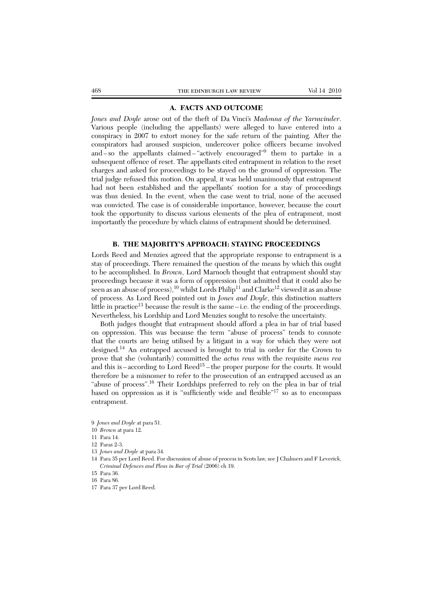### **A. FACTS AND OUTCOME**

*Jones and Doyle* arose out of the theft of Da Vinci's *Madonna of the Yarnwinder*. Various people (including the appellants) were alleged to have entered into a conspiracy in 2007 to extort money for the safe return of the painting. After the conspirators had aroused suspicion, undercover police officers became involved and – so the appellants claimed – "actively encouraged"9 them to partake in a subsequent offence of reset. The appellants cited entrapment in relation to the reset charges and asked for proceedings to be stayed on the ground of oppression. The trial judge refused this motion. On appeal, it was held unanimously that entrapment had not been established and the appellants' motion for a stay of proceedings was thus denied. In the event, when the case went to trial, none of the accused was convicted. The case is of considerable importance, however, because the court took the opportunity to discuss various elements of the plea of entrapment, most importantly the procedure by which claims of entrapment should be determined.

#### **B. THE MAJORITY'S APPROACH: STAYING PROCEEDINGS**

Lords Reed and Menzies agreed that the appropriate response to entrapment is a stay of proceedings. There remained the question of the means by which this ought to be accomplished. In *Brown*, Lord Marnoch thought that entrapment should stay proceedings because it was a form of oppression (but admitted that it could also be seen as an abuse of process),<sup>10</sup> whilst Lords Philip<sup>11</sup> and Clarke<sup>12</sup> viewed it as an abuse of process. As Lord Reed pointed out in *Jones and Doyle*, this distinction matters little in practice<sup>13</sup> because the result is the same – i.e. the ending of the proceedings. Nevertheless, his Lordship and Lord Menzies sought to resolve the uncertainty.

Both judges thought that entrapment should afford a plea in bar of trial based on oppression. This was because the term "abuse of process" tends to connote that the courts are being utilised by a litigant in a way for which they were not designed.<sup>14</sup> An entrapped accused is brought to trial in order for the Crown to prove that she (voluntarily) committed the *actus reus* with the requisite *mens rea* and this is – according to Lord Reed<sup>15</sup> – the proper purpose for the courts. It would therefore be a misnomer to refer to the prosecution of an entrapped accused as an "abuse of process".16 Their Lordships preferred to rely on the plea in bar of trial based on oppression as it is "sufficiently wide and flexible"<sup>17</sup> so as to encompass entrapment.

- 10 *Brown* at para 12.
- 11 Para 14.
- 12 Paras 2-3.
- 13 *Jones and Doyle* at para 34.
- 14 Para 35 per Lord Reed. For discussion of abuse of process in Scots law, see J Chalmers and F Leverick, *Criminal Defences and Pleas in Bar of Trial* (2006) ch 19.
- 15 Para 36.
- 16 Para 86.
- 17 Para 37 per Lord Reed.

<sup>9</sup> *Jones and Doyle* at para 51.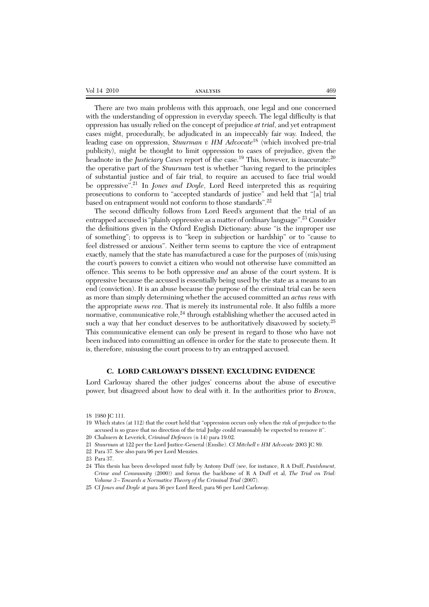| Vol 14 2010 | ANALYSIS | 469 |
|-------------|----------|-----|
|-------------|----------|-----|

There are two main problems with this approach, one legal and one concerned with the understanding of oppression in everyday speech. The legal difficulty is that oppression has usually relied on the concept of prejudice *at trial*, and yet entrapment cases might, procedurally, be adjudicated in an impeccably fair way. Indeed, the leading case on oppression, *Stuurman v HM Advocate*<sup>18</sup> (which involved pre-trial publicity), might be thought to limit oppression to cases of prejudice, given the headnote in the *Justiciary Cases* report of the case.<sup>19</sup> This, however, is inaccurate:<sup>20</sup> the operative part of the *Stuurman* test is whether "having regard to the principles of substantial justice and of fair trial, to require an accused to face trial would be oppressive".<sup>21</sup> In *Jones and Doyle*, Lord Reed interpreted this as requiring prosecutions to conform to "accepted standards of justice" and held that "[a] trial based on entrapment would not conform to those standards".<sup>22</sup>

The second difficulty follows from Lord Reed's argument that the trial of an entrapped accused is "plainly oppressive as a matter of ordinary language".23 Consider the definitions given in the Oxford English Dictionary: abuse "is the improper use of something"; to oppress is to "keep in subjection or hardship" or to "cause to feel distressed or anxious". Neither term seems to capture the vice of entrapment exactly, namely that the state has manufactured a case for the purposes of (mis)using the court's powers to convict a citizen who would not otherwise have committed an offence. This seems to be both oppressive *and* an abuse of the court system. It is oppressive because the accused is essentially being used by the state as a means to an end (conviction). It is an abuse because the purpose of the criminal trial can be seen as more than simply determining whether the accused committed an *actus reus* with the appropriate *mens rea*. That is merely its instrumental role. It also fulfils a more normative, communicative role, $24$  through establishing whether the accused acted in such a way that her conduct deserves to be authoritatively disavowed by society.<sup>25</sup> This communicative element can only be present in regard to those who have not been induced into committing an offence in order for the state to prosecute them. It is, therefore, misusing the court process to try an entrapped accused.

#### **C. LORD CARLOWAY'S DISSENT: EXCLUDING EVIDENCE**

Lord Carloway shared the other judges' concerns about the abuse of executive power, but disagreed about how to deal with it. In the authorities prior to *Brown*,

<sup>18 1980</sup> JC 111.

<sup>19</sup> Which states (at 112) that the court held that "oppression occurs only when the risk of prejudice to the accused is so grave that no direction of the trial Judge could reasonably be expected to remove it".

<sup>20</sup> Chalmers & Leverick, *Criminal Defences* (n 14) para 19.02.

<sup>21</sup> *Stuurman* at 122 per the Lord Justice-General (Emslie). Cf *Mitchell v HM Advocate* 2003 JC 89.

<sup>22</sup> Para 37. See also para 96 per Lord Menzies.

<sup>23</sup> Para 37.

<sup>24</sup> This thesis has been developed most fully by Antony Duff (see, for instance, R A Duff, *Punishment, Crime and Community* (2000)) and forms the backbone of R A Duff et al, *The Trial on Trial: Volume 3 – Towards a Normative Theory of the Criminal Trial* (2007).

<sup>25</sup> Cf *Jones and Doyle* at para 36 per Lord Reed, para 86 per Lord Carloway.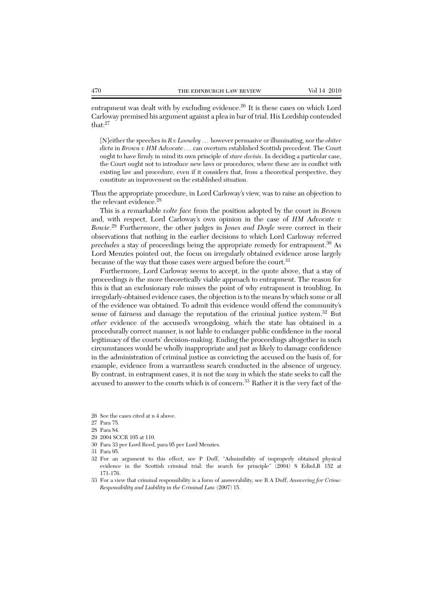entrapment was dealt with by excluding evidence.<sup>26</sup> It is these cases on which Lord Carloway premised his argument against a plea in bar of trial. His Lordship contended that:<sup>27</sup>

[N]either the speeches in *R v Looseley* . . . however persuasive or illuminating, nor the *obiter dicta* in *Brown v HM Advocate* . . . can overturn established Scottish precedent. The Court ought to have firmly in mind its own principle of *stare decisis*. In deciding a particular case, the Court ought not to introduce new laws or procedures, where these are in conflict with existing law and procedure, even if it considers that, from a theoretical perspective, they constitute an improvement on the established situation.

Thus the appropriate procedure, in Lord Carloway's view, was to raise an objection to the relevant evidence.<sup>28</sup>

This is a remarkable *volte face* from the position adopted by the court in *Brown* and, with respect, Lord Carloway's own opinion in the case of *HM Advocate v Bowie*. <sup>29</sup> Furthermore, the other judges in *Jones and Doyle* were correct in their observations that nothing in the earlier decisions to which Lord Carloway referred *precludes* a stay of proceedings being the appropriate remedy for entrapment.<sup>30</sup> As Lord Menzies pointed out, the focus on irregularly obtained evidence arose largely because of the way that those cases were argued before the court.<sup>31</sup>

Furthermore, Lord Carloway seems to accept, in the quote above, that a stay of proceedings *is* the more theoretically viable approach to entrapment. The reason for this is that an exclusionary rule misses the point of why entrapment is troubling. In irregularly-obtained evidence cases, the objection is to the means by which some or all of the evidence was obtained. To admit this evidence would offend the community's sense of fairness and damage the reputation of the criminal justice system.<sup>32</sup> But *other* evidence of the accused's wrongdoing, which the state has obtained in a procedurally correct manner, is not liable to endanger public confidence in the moral legitimacy of the courts' decision-making. Ending the proceedings altogether in such circumstances would be wholly inappropriate and just as likely to damage confidence in the administration of criminal justice as convicting the accused on the basis of, for example, evidence from a warrantless search conducted in the absence of urgency. By contrast, in entrapment cases, it is not the *way* in which the state seeks to call the accused to answer to the courts which is of concern.33 Rather it is the very fact of the

- 29 2004 SCCR 105 at 110.
- 30 Para 33 per Lord Reed, para 95 per Lord Menzies.

- 32 For an argument to this effect, see P Duff, "Admissibility of improperly obtained physical evidence in the Scottish criminal trial: the search for principle" (2004) 8 EdinLR 152 at 171-176.
- 33 For a view that criminal responsibility is a form of answerability, see R A Duff, *Answering for Crime: Responsibility and Liability in the Criminal Law* (2007) 15.

<sup>26</sup> See the cases cited at n 4 above.

<sup>27</sup> Para 75.

<sup>28</sup> Para 84.

<sup>31</sup> Para 95.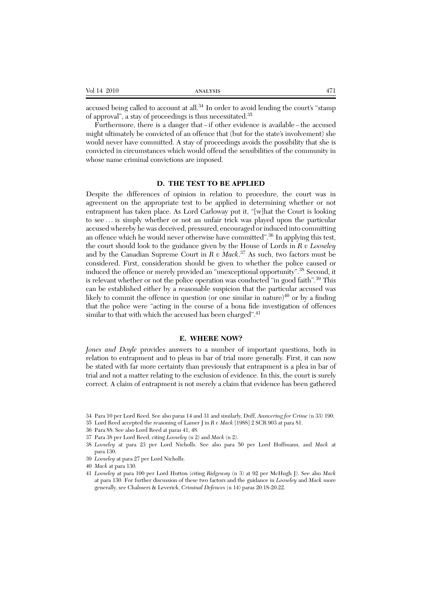| - -<br>Vol<br>- 1<br>.<br>_______ | 374737070 |  |
|-----------------------------------|-----------|--|
|                                   |           |  |

accused being called to account at all.<sup>34</sup> In order to avoid lending the court's "stamp of approval", a stay of proceedings is thus necessitated.35

Furthermore, there is a danger that – if other evidence is available – the accused might ultimately be convicted of an offence that (but for the state's involvement) she would never have committed. A stay of proceedings avoids the possibility that she is convicted in circumstances which would offend the sensibilities of the community in whose name criminal convictions are imposed.

#### **D. THE TEST TO BE APPLIED**

Despite the differences of opinion in relation to procedure, the court was in agreement on the appropriate test to be applied in determining whether or not entrapment has taken place. As Lord Carloway put it, "[w]hat the Court is looking to see . . . is simply whether or not an unfair trick was played upon the particular accused whereby he was deceived, pressured, encouraged or induced into committing an offence which he would never otherwise have committed".<sup>36</sup> In applying this test, the court should look to the guidance given by the House of Lords in *R v Looseley* and by the Canadian Supreme Court in *R v Mack*. <sup>37</sup> As such, two factors must be considered. First, consideration should be given to whether the police caused or induced the offence or merely provided an "unexceptional opportunity".<sup>38</sup> Second, it is relevant whether or not the police operation was conducted "in good faith".<sup>39</sup> This can be established either by a reasonable suspicion that the particular accused was likely to commit the offence in question (or one similar in nature)<sup>40</sup> or by a finding that the police were "acting in the course of a bona fide investigation of offences similar to that with which the accused has been charged".<sup>41</sup>

#### **E. WHERE NOW?**

*Jones and Doyle* provides answers to a number of important questions, both in relation to entrapment and to pleas in bar of trial more generally. First, it can now be stated with far more certainty than previously that entrapment is a plea in bar of trial and not a matter relating to the exclusion of evidence. In this, the court is surely correct. A claim of entrapment is not merely a claim that evidence has been gathered

- 36 Para 88. See also Lord Reed at paras 41, 48.
- 37 Para 38 per Lord Reed, citing *Looseley* (n 2) and *Mack* (n 2).
- 38 *Looseley* at para 23 per Lord Nicholls. See also para 50 per Lord Hoffmann, and *Mack* at para 130.
- 39 *Looseley* at para 27 per Lord Nicholls.

<sup>34</sup> Para 10 per Lord Reed. See also paras 14 and 31 and similarly, Duff, *Answering for Crime* (n 33) 190.

<sup>35</sup> Lord Reed accepted the reasoning of Lamer J in *R v Mack* [1988] 2 SCR 903 at para 81.

<sup>40</sup> *Mack* at para 130.

<sup>41</sup> *Looseley* at para 100 per Lord Hutton (citing *Ridgeway* (n 3) at 92 per McHugh J). See also *Mack* at para 130. For further discussion of these two factors and the guidance in *Looseley* and *Mack* more generally, see Chalmers & Leverick, *Criminal Defences* (n 14) paras 20.18-20.22.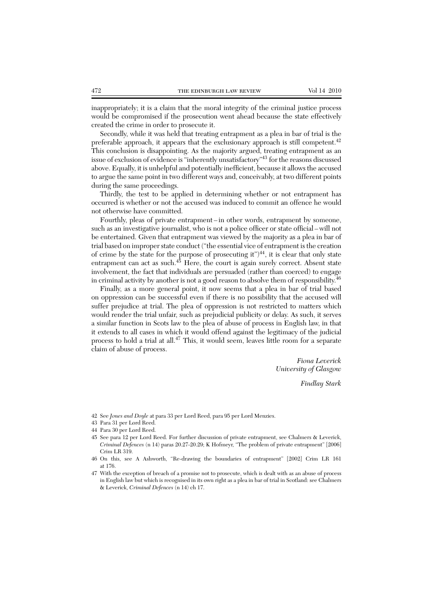inappropriately; it is a claim that the moral integrity of the criminal justice process would be compromised if the prosecution went ahead because the state effectively created the crime in order to prosecute it.

Secondly, while it was held that treating entrapment as a plea in bar of trial is the preferable approach, it appears that the exclusionary approach is still competent.<sup>42</sup> This conclusion is disappointing. As the majority argued, treating entrapment as an issue of exclusion of evidence is "inherently unsatisfactory"<sup>43</sup> for the reasons discussed above. Equally, it is unhelpful and potentially inefficient, because it allows the accused to argue the same point in two different ways and, conceivably, at two different points during the same proceedings.

Thirdly, the test to be applied in determining whether or not entrapment has occurred is whether or not the accused was induced to commit an offence he would not otherwise have committed.

Fourthly, pleas of private entrapment – in other words, entrapment by someone, such as an investigative journalist, who is not a police officer or state official – will not be entertained. Given that entrapment was viewed by the majority as a plea in bar of trial based on improper state conduct ("the essential vice of entrapment is the creation of crime by the state for the purpose of prosecuting it" $)^{44}$ , it is clear that only state entrapment can act as such. $45$  Here, the court is again surely correct. Absent state involvement, the fact that individuals are persuaded (rather than coerced) to engage in criminal activity by another is not a good reason to absolve them of responsibility.46

Finally, as a more general point, it now seems that a plea in bar of trial based on oppression can be successful even if there is no possibility that the accused will suffer prejudice at trial. The plea of oppression is not restricted to matters which would render the trial unfair, such as prejudicial publicity or delay. As such, it serves a similar function in Scots law to the plea of abuse of process in English law, in that it extends to all cases in which it would offend against the legitimacy of the judicial process to hold a trial at all.<sup>47</sup> This, it would seem, leaves little room for a separate claim of abuse of process.

> *Fiona Leverick University of Glasgow*

> > *Findlay Stark*

42 See *Jones and Doyle* at para 33 per Lord Reed, para 95 per Lord Menzies.

<sup>43</sup> Para 31 per Lord Reed.

<sup>44</sup> Para 30 per Lord Reed.

<sup>45</sup> See para 12 per Lord Reed. For further discussion of private entrapment, see Chalmers & Leverick, *Criminal Defences* (n 14) paras 20.27-20.29; K Hofmeyr, "The problem of private entrapment" [2006] Crim LR 319.

<sup>46</sup> On this, see A Ashworth, "Re-drawing the boundaries of entrapment" [2002] Crim LR 161 at 176.

<sup>47</sup> With the exception of breach of a promise not to prosecute, which is dealt with as an abuse of process in English law but which is recognised in its own right as a plea in bar of trial in Scotland: see Chalmers & Leverick, *Criminal Defences* (n 14) ch 17.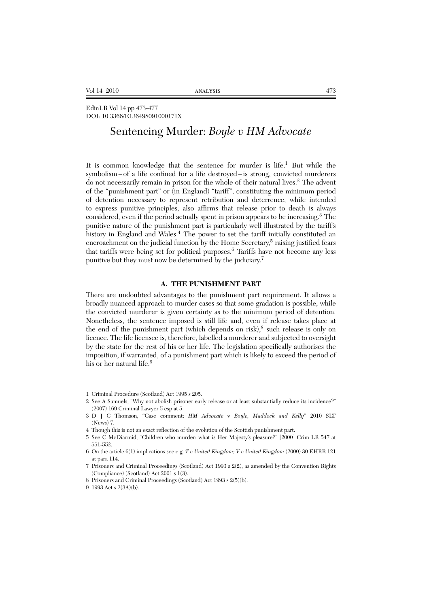EdinLR Vol 14 pp 473-477 DOI: 10.3366/E136498091000171X

# Sentencing Murder: *Boyle v HM Advocate*

It is common knowledge that the sentence for murder is life.<sup>1</sup> But while the symbolism – of a life confined for a life destroyed – is strong, convicted murderers do not necessarily remain in prison for the whole of their natural lives.<sup>2</sup> The advent of the "punishment part" or (in England) "tariff", constituting the minimum period of detention necessary to represent retribution and deterrence, while intended to express punitive principles, also affirms that release prior to death is always considered, even if the period actually spent in prison appears to be increasing.3 The punitive nature of the punishment part is particularly well illustrated by the tariff's history in England and Wales.<sup>4</sup> The power to set the tariff initially constituted an encroachment on the judicial function by the Home Secretary,<sup>5</sup> raising justified fears that tariffs were being set for political purposes.<sup>6</sup> Tariffs have not become any less punitive but they must now be determined by the judiciary.<sup>7</sup>

#### **A. THE PUNISHMENT PART**

There are undoubted advantages to the punishment part requirement. It allows a broadly nuanced approach to murder cases so that some gradation is possible, while the convicted murderer is given certainty as to the minimum period of detention. Nonetheless, the sentence imposed is still life and, even if release takes place at the end of the punishment part (which depends on risk), $\delta$  such release is only on licence. The life licensee is, therefore, labelled a murderer and subjected to oversight by the state for the rest of his or her life. The legislation specifically authorises the imposition, if warranted, of a punishment part which is likely to exceed the period of his or her natural life.<sup>9</sup>

<sup>1</sup> Criminal Procedure (Scotland) Act 1995 s 205.

<sup>2</sup> See A Samuels, "Why not abolish prisoner early release or at least substantially reduce its incidence?" (2007) 169 Criminal Lawyer 5 esp at 5.

<sup>3</sup> D J C Thomson, "Case comment: *HM Advocate* v *Boyle, Maddock and Kelly*" 2010 SLT (News) 7.

<sup>4</sup> Though this is not an exact reflection of the evolution of the Scottish punishment part.

<sup>5</sup> See C McDiarmid, "Children who murder: what is Her Majesty's pleasure?" [2000] Crim LR 547 at 551-552.

<sup>6</sup> On the article 6(1) implications see e.g. *T v United Kingdom; V v United Kingdom* (2000) 30 EHRR 121 at para 114.

<sup>7</sup> Prisoners and Criminal Proceedings (Scotland) Act 1993 s 2(2), as amended by the Convention Rights (Compliance) (Scotland) Act 2001 s 1(3).

<sup>8</sup> Prisoners and Criminal Proceedings (Scotland) Act 1993 s 2(5)(b).

<sup>9 1993</sup> Act s 2(3A)(b).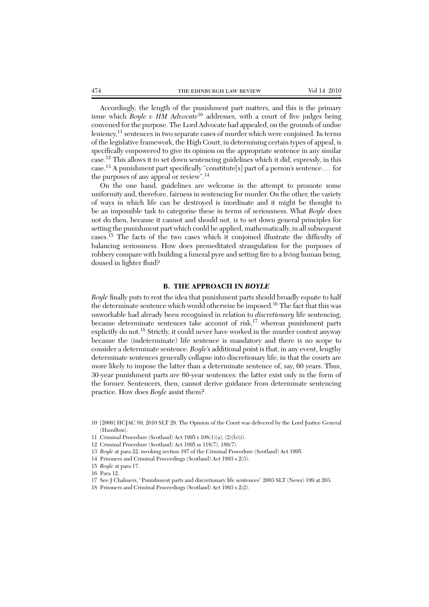Accordingly, the length of the punishment part matters, and this is the primary issue which *Boyle v HM Advocate*<sup>10</sup> addresses, with a court of five judges being convened for the purpose. The Lord Advocate had appealed, on the grounds of undue leniency,<sup>11</sup> sentences in two separate cases of murder which were conjoined. In terms of the legislative framework, the High Court, in determining certain types of appeal, is specifically empowered to give its opinion on the appropriate sentence in any similar case.<sup>12</sup> This allows it to set down sentencing guidelines which it did, expressly, in this case.<sup>13</sup> A punishment part specifically "constitute[s] part of a person's sentence . . . for the purposes of any appeal or review".14

On the one hand, guidelines are welcome in the attempt to promote some uniformity and, therefore, fairness in sentencing for murder. On the other, the variety of ways in which life can be destroyed is inordinate and it might be thought to be an impossible task to categorise these in terms of seriousness. What *Boyle* does not do then, because it cannot and should not, is to set down general principles for setting the punishment part which could be applied, mathematically, in all subsequent cases.<sup>15</sup> The facts of the two cases which it conjoined illustrate the difficulty of balancing seriousness. How does premeditated strangulation for the purposes of robbery compare with building a funeral pyre and setting fire to a living human being, doused in lighter fluid?

#### **B. THE APPROACH IN** *BOYLE*

*Boyle* finally puts to rest the idea that punishment parts should broadly equate to half the determinate sentence which would otherwise be imposed.16 The fact that this was unworkable had already been recognised in relation to *discretionary* life sentencing, because determinate sentences take account of risk, $17$  whereas punishment parts explicitly do not.<sup>18</sup> Strictly, it could never have worked in the murder context anyway because the (indeterminate) life sentence is mandatory and there is no scope to consider a determinate sentence. *Boyle*'s additional point is that, in any event, lengthy determinate sentences generally collapse into discretionary life, in that the courts are more likely to impose the latter than a determinate sentence of, say, 60 years. Thus, 30-year punishment parts *are* 60-year sentences: the latter exist only in the form of the former. Sentencers, then, cannot derive guidance from determinate sentencing practice. How does *Boyle* assist them?

12 Criminal Procedure (Scotland) Act 1995 ss 118(7), 189(7).

- 14 Prisoners and Criminal Proceedings (Scotland) Act 1993 s 2(3).
- 15 *Boyle* at para 17.
- 16 Para 12.

<sup>10 [2009]</sup> HCJAC 89, 2010 SLT 29. The Opinion of the Court was delivered by the Lord Justice General (Hamilton).

<sup>11</sup> Criminal Procedure (Scotland) Act 1995 s 108(1)(a), (2)(b)(i).

<sup>13</sup> *Boyle* at para 22, invoking section 197 of the Criminal Procedure (Scotland) Act 1995.

<sup>17</sup> See J Chalmers, "Punishment parts and discretionary life sentences" 2003 SLT (News) 199 at 203.

<sup>18</sup> Prisoners and Criminal Proceedings (Scotland) Act 1993 s 2(2).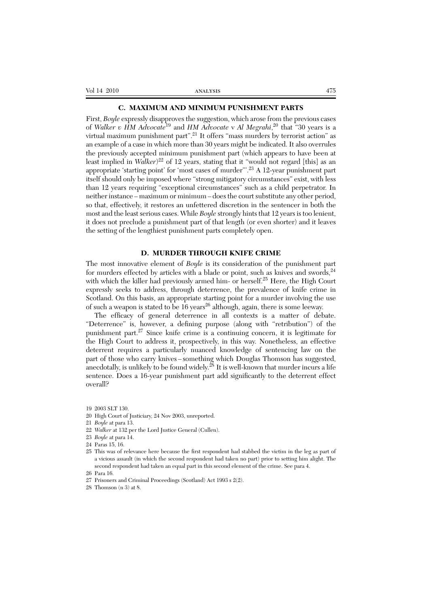#### **C. MAXIMUM AND MINIMUM PUNISHMENT PARTS**

First, *Boyle* expressly disapproves the suggestion, which arose from the previous cases of *Walker v HM Advocate*<sup>19</sup> and *HM Advocate* v *Al Megrahi*, <sup>20</sup> that "30 years is a virtual maximum punishment part".<sup>21</sup> It offers "mass murders by terrorist action" as an example of a case in which more than 30 years might be indicated. It also overrules the previously accepted minimum punishment part (which appears to have been at least implied in *Walker*) <sup>22</sup> of 12 years, stating that it "would not regard [this] as an appropriate 'starting point' for 'most cases of murder"'.<sup>23</sup> A 12-year punishment part itself should only be imposed where "strong mitigatory circumstances" exist, with less than 12 years requiring "exceptional circumstances" such as a child perpetrator. In neither instance – maximum or minimum – does the court substitute any other period, so that, effectively, it restores an unfettered discretion in the sentencer in both the most and the least serious cases. While *Boyle* strongly hints that 12 years is too lenient, it does not preclude a punishment part of that length (or even shorter) and it leaves the setting of the lengthiest punishment parts completely open.

#### **D. MURDER THROUGH KNIFE CRIME**

The most innovative element of *Boyle* is its consideration of the punishment part for murders effected by articles with a blade or point, such as knives and swords,  $24$ with which the killer had previously armed him- or herself.<sup>25</sup> Here, the High Court expressly seeks to address, through deterrence, the prevalence of knife crime in Scotland. On this basis, an appropriate starting point for a murder involving the use of such a weapon is stated to be 16 years<sup>26</sup> although, again, there is some leeway.

The efficacy of general deterrence in all contexts is a matter of debate. "Deterrence" is, however, a defining purpose (along with "retribution") of the punishment part.27 Since knife crime is a continuing concern, it is legitimate for the High Court to address it, prospectively, in this way. Nonetheless, an effective deterrent requires a particularly nuanced knowledge of sentencing law on the part of those who carry knives – something which Douglas Thomson has suggested, anecdotally, is unlikely to be found widely.<sup>28</sup> It is well-known that murder incurs a life sentence. Does a 16-year punishment part add significantly to the deterrent effect overall?

22 *Walker* at 132 per the Lord Justice General (Cullen).

25 This was of relevance here because the first respondent had stabbed the victim in the leg as part of a vicious assault (in which the second respondent had taken no part) prior to setting him alight. The second respondent had taken an equal part in this second element of the crime. See para 4.

<sup>19 2003</sup> SLT 130.

<sup>20</sup> High Court of Justiciary, 24 Nov 2003, unreported.

<sup>21</sup> *Boyle* at para 13.

<sup>23</sup> *Boyle* at para 14.

<sup>24</sup> Paras 15, 16.

<sup>26</sup> Para 16.

<sup>27</sup> Prisoners and Criminal Proceedings (Scotland) Act 1993 s 2(2).

<sup>28</sup> Thomson (n 3) at 8.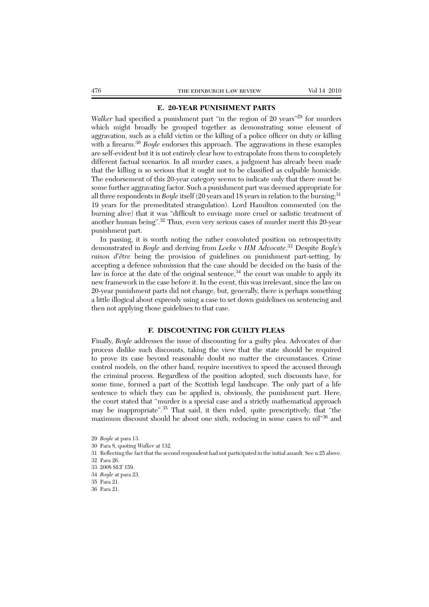### **E. 20-YEAR PUNISHMENT PARTS**

*Walker* had specified a punishment part "in the region of 20 years"<sup>29</sup> for murders which might broadly be grouped together as demonstrating some element of aggravation, such as a child victim or the killing of a police officer on duty or killing with a firearm.<sup>30</sup> *Boyle* endorses this approach. The aggravations in these examples are self-evident but it is not entirely clear how to extrapolate from them to completely different factual scenarios. In all murder cases, a judgment has already been made that the killing is so serious that it ought not to be classified as culpable homicide. The endorsement of this 20-year category seems to indicate only that there must be some further aggravating factor. Such a punishment part was deemed appropriate for all three respondents in *Boyle* itself (20 years and 18 years in relation to the burning;<sup>31</sup> 19 years for the premeditated strangulation). Lord Hamilton commented (on the burning alive) that it was "difficult to envisage more cruel or sadistic treatment of another human being".<sup>32</sup> Thus, even very serious cases of murder merit this 20-year punishment part.

In passing, it is worth noting the rather convoluted position on retrospectivity demonstrated in *Boyle* and deriving from *Locke* v *HM Advocate*. <sup>33</sup> Despite *Boyle*'s raison d'être being the provision of guidelines on punishment part-setting, by accepting a defence submission that the case should be decided on the basis of the law in force at the date of the original sentence,  $34$  the court was unable to apply its new framework in the case before it. In the event, this was irrelevant, since the law on 20-year punishment parts did not change, but, generally, there is perhaps something a little illogical about expressly using a case to set down guidelines on sentencing and then not applying those guidelines to that case.

### **F. DISCOUNTING FOR GUILTY PLEAS**

Finally, *Boyle* addresses the issue of discounting for a guilty plea. Advocates of due process dislike such discounts, taking the view that the state should be required to prove its case beyond reasonable doubt no matter the circumstances. Crime control models, on the other hand, require incentives to speed the accused through the criminal process. Regardless of the position adopted, such discounts have, for some time, formed a part of the Scottish legal landscape. The only part of a life sentence to which they can be applied is, obviously, the punishment part. Here, the court stated that "murder is a special case and a strictly mathematical approach may be inappropriate".35 That said, it then ruled, quite prescriptively, that "the maximum discount should be about one sixth, reducing in some cases to nil"36 and

30 Para 8, quoting *Walker* at 132.

<sup>29</sup> *Boyle* at para 13.

<sup>31</sup> Reflecting the fact that the second respondent had not participated in the initial assault. See n 25 above.

<sup>32</sup> Para 26.

<sup>33 2008</sup> SLT 159.

<sup>34</sup> *Boyle* at para 23.

<sup>35</sup> Para 21.

<sup>36</sup> Para 21.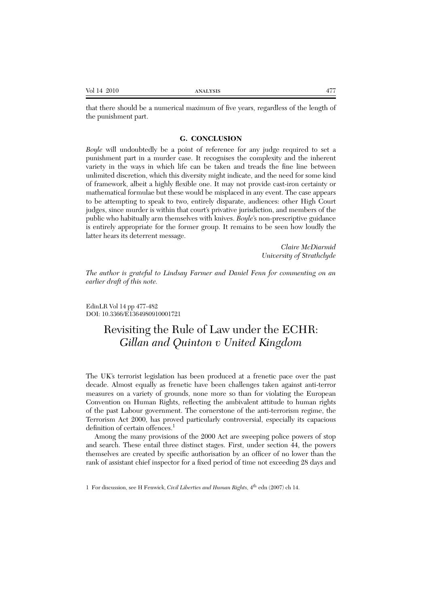| Vol 14 2010<br>. | <b>ANALYSIS</b> | Δ' |
|------------------|-----------------|----|
|------------------|-----------------|----|

that there should be a numerical maximum of five years, regardless of the length of the punishment part.

### **G. CONCLUSION**

*Boyle* will undoubtedly be a point of reference for any judge required to set a punishment part in a murder case. It recognises the complexity and the inherent variety in the ways in which life can be taken and treads the fine line between unlimited discretion, which this diversity might indicate, and the need for some kind of framework, albeit a highly flexible one. It may not provide cast-iron certainty or mathematical formulae but these would be misplaced in any event. The case appears to be attempting to speak to two, entirely disparate, audiences: other High Court judges, since murder is within that court's privative jurisdiction, and members of the public who habitually arm themselves with knives. *Boyle*'s non-prescriptive guidance is entirely appropriate for the former group. It remains to be seen how loudly the latter hears its deterrent message.

> *Claire McDiarmid University of Strathclyde*

*The author is grateful to Lindsay Farmer and Daniel Fenn for commenting on an earlier draft of this note.*

EdinLR Vol 14 pp 477-482 DOI: 10.3366/E1364980910001721

# Revisiting the Rule of Law under the ECHR: *Gillan and Quinton v United Kingdom*

The UK's terrorist legislation has been produced at a frenetic pace over the past decade. Almost equally as frenetic have been challenges taken against anti-terror measures on a variety of grounds, none more so than for violating the European Convention on Human Rights, reflecting the ambivalent attitude to human rights of the past Labour government. The cornerstone of the anti-terrorism regime, the Terrorism Act 2000, has proved particularly controversial, especially its capacious definition of certain offences.<sup>1</sup>

Among the many provisions of the 2000 Act are sweeping police powers of stop and search. These entail three distinct stages. First, under section 44, the powers themselves are created by specific authorisation by an officer of no lower than the rank of assistant chief inspector for a fixed period of time not exceeding 28 days and

<sup>1</sup> For discussion, see H Fenwick, *Civil Liberties and Human Rights,* 4th edn (2007) ch 14.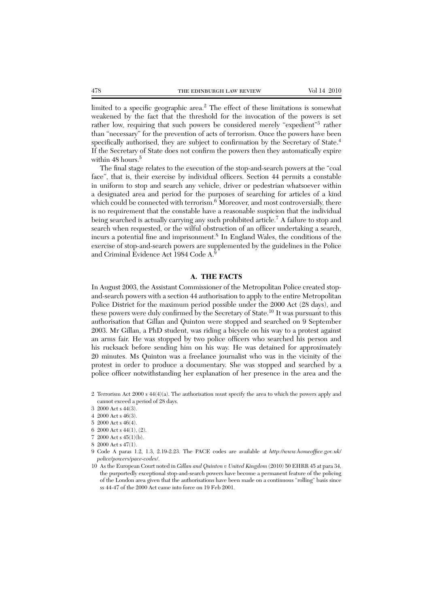limited to a specific geographic area.<sup>2</sup> The effect of these limitations is somewhat weakened by the fact that the threshold for the invocation of the powers is set rather low, requiring that such powers be considered merely "expedient"<sup>3</sup> rather than "necessary" for the prevention of acts of terrorism. Once the powers have been specifically authorised, they are subject to confirmation by the Secretary of State.<sup>4</sup> If the Secretary of State does not confirm the powers then they automatically expire within 48 hours.<sup>5</sup>

The final stage relates to the execution of the stop-and-search powers at the "coal face", that is, their exercise by individual officers. Section 44 permits a constable in uniform to stop and search any vehicle, driver or pedestrian whatsoever within a designated area and period for the purposes of searching for articles of a kind which could be connected with terrorism. $6$  Moreover, and most controversially, there is no requirement that the constable have a reasonable suspicion that the individual being searched is actually carrying any such prohibited article.<sup>7</sup> A failure to stop and search when requested, or the wilful obstruction of an officer undertaking a search, incurs a potential fine and imprisonment.8 In England Wales, the conditions of the exercise of stop-and-search powers are supplemented by the guidelines in the Police and Criminal Evidence Act 1984 Code A.<sup>9</sup>

#### **A. THE FACTS**

In August 2003, the Assistant Commissioner of the Metropolitan Police created stopand-search powers with a section 44 authorisation to apply to the entire Metropolitan Police District for the maximum period possible under the 2000 Act (28 days), and these powers were duly confirmed by the Secretary of State.10 It was pursuant to this authorisation that Gillan and Quinton were stopped and searched on 9 September 2003. Mr Gillan, a PhD student, was riding a bicycle on his way to a protest against an arms fair. He was stopped by two police officers who searched his person and his rucksack before sending him on his way. He was detained for approximately 20 minutes. Ms Quinton was a freelance journalist who was in the vicinity of the protest in order to produce a documentary. She was stopped and searched by a police officer notwithstanding her explanation of her presence in the area and the

7 2000 Act s 45(1)(b).

<sup>2</sup> Terrorism Act 2000 s 44(4)(a). The authorisation must specify the area to which the powers apply and cannot exceed a period of 28 days.

<sup>3 2000</sup> Act s 44(3).

<sup>4 2000</sup> Act s 46(3).

<sup>5 2000</sup> Act s 46(4).

<sup>6 2000</sup> Act s 44(1), (2).

<sup>8 2000</sup> Act s 47(1).

<sup>9</sup> Code A paras 1.2, 1.3, 2.19-2.23. The PACE codes are available at *http://www.homeoffice.gov.uk/ police/powers/pace-codes/*.

<sup>10</sup> As the European Court noted in *Gillan and Quinton v United Kingdom* (2010) 50 EHRR 45 at para 34, the purportedly exceptional stop-and-search powers have become a permanent feature of the policing of the London area given that the authorisations have been made on a continuous "rolling" basis since ss 44-47 of the 2000 Act came into force on 19 Feb 2001.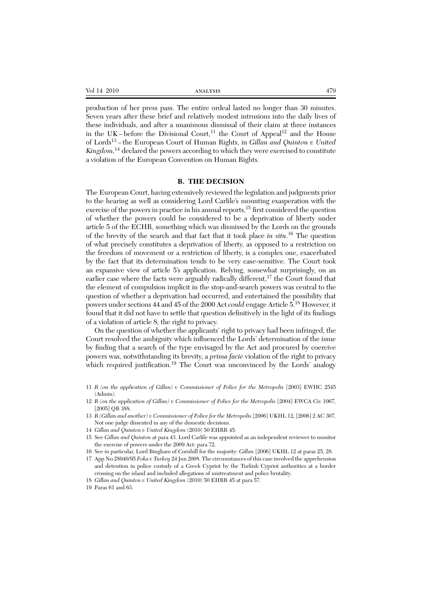production of her press pass. The entire ordeal lasted no longer than 30 minutes. Seven years after these brief and relatively modest intrusions into the daily lives of these individuals, and after a unanimous dismissal of their claim at three instances in the UK-before the Divisional Court,<sup>11</sup> the Court of Appeal<sup>12</sup> and the House of Lords<sup>13</sup> – the European Court of Human Rights, in *Gillan and Quinton v United Kingdom*, <sup>14</sup> declared the powers according to which they were exercised to constitute a violation of the European Convention on Human Rights.

#### **B. THE DECISION**

The European Court, having extensively reviewed the legislation and judgments prior to the hearing as well as considering Lord Carlile's mounting exasperation with the exercise of the powers in practice in his annual reports,<sup>15</sup> first considered the question of whether the powers could be considered to be a deprivation of liberty under article 5 of the ECHR, something which was dismissed by the Lords on the grounds of the brevity of the search and that fact that it took place *in situ*. <sup>16</sup> The question of what precisely constitutes a deprivation of liberty, as opposed to a restriction on the freedom of movement or a restriction of liberty, is a complex one, exacerbated by the fact that its determination tends to be very case-sensitive. The Court took an expansive view of article 5's application. Relying, somewhat surprisingly, on an earlier case where the facts were arguably radically different,<sup>17</sup> the Court found that the element of compulsion implicit in the stop-and-search powers was central to the question of whether a deprivation had occurred, and entertained the possibility that powers under sections 44 and 45 of the 2000 Act *could* engage Article 5.<sup>18</sup> However, it found that it did not have to settle that question definitively in the light of its findings of a violation of article 8, the right to privacy.

On the question of whether the applicants' right to privacy had been infringed, the Court resolved the ambiguity which influenced the Lords' determination of the issue by finding that a search of the type envisaged by the Act and procured by coercive powers was, notwithstanding its brevity, a *prima facie* violation of the right to privacy which required justification.<sup>19</sup> The Court was unconvinced by the Lords' analogy

- 11 *R (on the application of Gillan) v Commissioner of Police for the Metropolis* [2003] EWHC 2545 (Admin).
- 12 *R (on the application of Gillan) v Commissioner of Police for the Metropolis* [2004] EWCA Civ 1067, [2005] QB 388.
- 13 *R (Gillan and another) v Commissioner of Police for the Metropolis* [2006] UKHL 12, [2006] 2 AC 307. Not one judge dissented in any of the domestic decisions.
- 14 *Gillan and Quinton v United Kingdom* (2010) 50 EHRR 45.
- 15 See *Gillan and Quinton* at para 43. Lord Carlile was appointed as an independent reviewer to monitor the exercise of powers under the 2009 Act: para 72.
- 16 See in particular, Lord Bingham of Cornhill for the majority: *Gillan* [2006] UKHL 12 at paras 25, 28.
- 17 App No 28940/95 *Foka v Turkey* 24 Jun 2008. The circumstances of this case involved the apprehension and detention in police custody of a Greek Cypriot by the Turkish Cypriot authorities at a border crossing on the island and included allegations of mistreatment and police brutality.
- 18 *Gillan and Quinton v United Kingdom* (2010) 50 EHRR 45 at para 57.
- 19 Paras 61 and 63.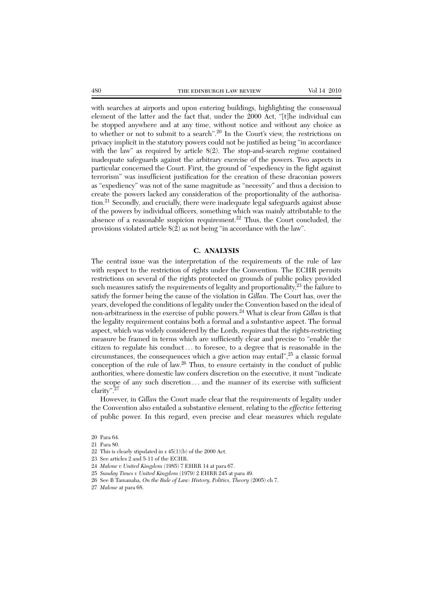with searches at airports and upon entering buildings, highlighting the consensual element of the latter and the fact that, under the 2000 Act, "[t]he individual can be stopped anywhere and at any time, without notice and without any choice as to whether or not to submit to a search".20 In the Court's view, the restrictions on privacy implicit in the statutory powers could not be justified as being "in accordance with the law" as required by article 8(2). The stop-and-search regime contained inadequate safeguards against the arbitrary exercise of the powers. Two aspects in particular concerned the Court. First, the ground of "expediency in the fight against terrorism" was insufficient justification for the creation of these draconian powers as "expediency" was not of the same magnitude as "necessity" and thus a decision to create the powers lacked any consideration of the proportionality of the authorisation.<sup>21</sup> Secondly, and crucially, there were inadequate legal safeguards against abuse of the powers by individual officers, something which was mainly attributable to the absence of a reasonable suspicion requirement.<sup>22</sup> Thus, the Court concluded, the provisions violated article 8(2) as not being "in accordance with the law".

#### **C. ANALYSIS**

The central issue was the interpretation of the requirements of the rule of law with respect to the restriction of rights under the Convention. The ECHR permits restrictions on several of the rights protected on grounds of public policy provided such measures satisfy the requirements of legality and proportionality, $^{23}$  the failure to satisfy the former being the cause of the violation in *Gillan*. The Court has, over the years, developed the conditions of legality under the Convention based on the ideal of non-arbitrariness in the exercise of public powers.24 What is clear from *Gillan* is that the legality requirement contains both a formal and a substantive aspect. The formal aspect, which was widely considered by the Lords, requires that the rights-restricting measure be framed in terms which are sufficiently clear and precise to "enable the citizen to regulate his conduct ... to foresee, to a degree that is reasonable in the circumstances, the consequences which a give action may entail",<sup>25</sup> a classic formal conception of the rule of law.<sup>26</sup> Thus, to ensure certainty in the conduct of public authorities, where domestic law confers discretion on the executive, it must "indicate the scope of any such discretion ... and the manner of its exercise with sufficient clarity".27

However, in *Gillan* the Court made clear that the requirements of legality under the Convention also entailed a substantive element, relating to the *effective* fettering of public power. In this regard, even precise and clear measures which regulate

21 Para 80.

- 23 See articles 2 and 5-11 of the ECHR.
- 24 *Malone v United Kingdom* (1985) 7 EHRR 14 at para 67.
- 25 *Sunday Times v United Kingdom* (1979) 2 EHRR 245 at para 49.
- 26 See B Tamanaha, *On the Rule of Law: History, Politics, Theory* (2005) ch 7.
- 27 *Malone* at para 68.

<sup>20</sup> Para 64.

<sup>22</sup> This is clearly stipulated in s  $45(1)(b)$  of the 2000 Act.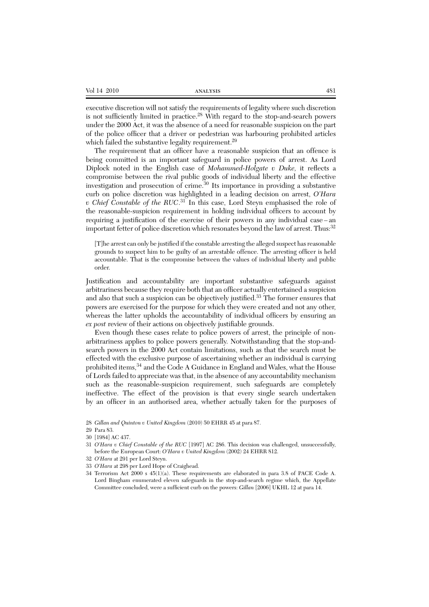| Vol 14 2010 | <b>ANALYSIS</b> | 481 |
|-------------|-----------------|-----|
|-------------|-----------------|-----|

executive discretion will not satisfy the requirements of legality where such discretion is not sufficiently limited in practice.<sup>28</sup> With regard to the stop-and-search powers under the 2000 Act, it was the absence of a need for reasonable suspicion on the part of the police officer that a driver or pedestrian was harbouring prohibited articles which failed the substantive legality requirement.<sup>29</sup>

The requirement that an officer have a reasonable suspicion that an offence is being committed is an important safeguard in police powers of arrest. As Lord Diplock noted in the English case of *Mohammed-Holgate v Duke,* it reflects a compromise between the rival public goods of individual liberty and the effective investigation and prosecution of crime.<sup>30</sup> Its importance in providing a substantive curb on police discretion was highlighted in a leading decision on arrest, *O'Hara v Chief Constable of the RUC*. <sup>31</sup> In this case, Lord Steyn emphasised the role of the reasonable-suspicion requirement in holding individual officers to account by requiring a justification of the exercise of their powers in any individual case – an important fetter of police discretion which resonates beyond the law of arrest. Thus:<sup>32</sup>

[T]he arrest can only be justified if the constable arresting the alleged suspect has reasonable grounds to suspect him to be guilty of an arrestable offence. The arresting officer is held accountable. That is the compromise between the values of individual liberty and public order.

Justification and accountability are important substantive safeguards against arbitrariness because they require both that an officer actually entertained a suspicion and also that such a suspicion can be objectively justified.<sup>33</sup> The former ensures that powers are exercised for the purpose for which they were created and not any other, whereas the latter upholds the accountability of individual officers by ensuring an *ex post* review of their actions on objectively justifiable grounds.

Even though these cases relate to police powers of arrest, the principle of nonarbitrariness applies to police powers generally. Notwithstanding that the stop-andsearch powers in the 2000 Act contain limitations, such as that the search must be effected with the exclusive purpose of ascertaining whether an individual is carrying prohibited items, 34 and the Code A Guidance in England and Wales, what the House of Lords failed to appreciate was that, in the absence of any accountability mechanism such as the reasonable-suspicion requirement, such safeguards are completely ineffective. The effect of the provision is that every single search undertaken by an officer in an authorised area, whether actually taken for the purposes of

<sup>28</sup> *Gillan and Quinton v United Kingdom* (2010) 50 EHRR 45 at para 87.

<sup>29</sup> Para 83.

<sup>30 [1984]</sup> AC 437.

<sup>31</sup> *O'Hara v Chief Constable of the RUC* [1997] AC 286. This decision was challenged, unsuccessfully, before the European Court: *O'Hara v United Kingdom* (2002) 24 EHRR 812.

<sup>32</sup> *O'Hara* at 291 per Lord Steyn.

<sup>33</sup> *O'Hara* at 298 per Lord Hope of Craighead.

<sup>34</sup> Terrorism Act 2000 s 45(1)(a). These requirements are elaborated in para 3.8 of PACE Code A. Lord Bingham enumerated eleven safeguards in the stop-and-search regime which, the Appellate Committee concluded, were a sufficient curb on the powers: *Gillan* [2006] UKHL 12 at para 14.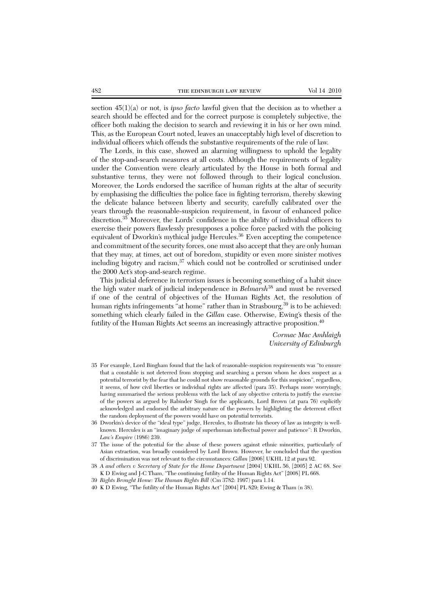section 45(1)(a) or not, is *ipso facto* lawful given that the decision as to whether a search should be effected and for the correct purpose is completely subjective, the officer both making the decision to search and reviewing it in his or her own mind. This, as the European Court noted, leaves an unacceptably high level of discretion to individual officers which offends the substantive requirements of the rule of law.

The Lords, in this case, showed an alarming willingness to uphold the legality of the stop-and-search measures at all costs. Although the requirements of legality under the Convention were clearly articulated by the House in both formal and substantive terms, they were not followed through to their logical conclusion. Moreover, the Lords endorsed the sacrifice of human rights at the altar of security by emphasising the difficulties the police face in fighting terrorism, thereby skewing the delicate balance between liberty and security, carefully calibrated over the years through the reasonable-suspicion requirement, in favour of enhanced police discretion.<sup>35</sup> Moreover, the Lords' confidence in the ability of individual officers to exercise their powers flawlessly presupposes a police force packed with the policing equivalent of Dworkin's mythical judge Hercules.<sup>36</sup> Even accepting the competence and commitment of the security forces, one must also accept that they are only human that they may, at times, act out of boredom, stupidity or even more sinister motives including bigotry and racism,<sup>37</sup> which could not be controlled or scrutinised under the 2000 Act's stop-and-search regime.

This judicial deference in terrorism issues is becoming something of a habit since the high water mark of judicial independence in *Belmarsh*<sup>38</sup> and must be reversed if one of the central of objectives of the Human Rights Act, the resolution of human rights infringements "at home" rather than in Strasbourg,<sup>39</sup> is to be achieved: something which clearly failed in the *Gillan* case. Otherwise, Ewing's thesis of the futility of the Human Rights Act seems an increasingly attractive proposition.<sup>40</sup>

> *Cormac Mac Amhlaigh University of Edinburgh*

- 35 For example, Lord Bingham found that the lack of reasonable-suspicion requirements was "to ensure that a constable is not deterred from stopping and searching a person whom he does suspect as a potential terrorist by the fear that he could not show reasonable grounds for this suspicion", regardless, it seems, of how civil liberties or individual rights are affected (para 35). Perhaps more worryingly, having summarised the serious problems with the lack of any objective criteria to justify the exercise of the powers as argued by Rabinder Singh for the applicants, Lord Brown (at para 76) explicitly acknowledged and endorsed the arbitrary nature of the powers by highlighting the deterrent effect the random deployment of the powers would have on potential terrorists.
- 36 Dworkin's device of the "ideal type" judge, Hercules, to illustrate his theory of law as integrity is wellknown. Hercules is an "imaginary judge of superhuman intellectual power and patience": R Dworkin, *Law's Empire* (1986) 239.
- 37 The issue of the potential for the abuse of these powers against ethnic minorities, particularly of Asian extraction, was broadly considered by Lord Brown. However, he concluded that the question of discrimination was not relevant to the circumstances: *Gillan* [2006] UKHL 12 at para 92.
- 38 *A and others v Secretary of State for the Home Department* [2004] UKHL 56, [2005] 2 AC 68. See K D Ewing and J-C Tham, "The continuing futility of the Human Rights Act" [2008] PL 668.
- 39 *Rights Brought Home: The Human Rights Bill* (Cm 3782: 1997) para 1.14.
- 40 K D Ewing, "The futility of the Human Rights Act" [2004] PL 829; Ewing & Tham (n 38).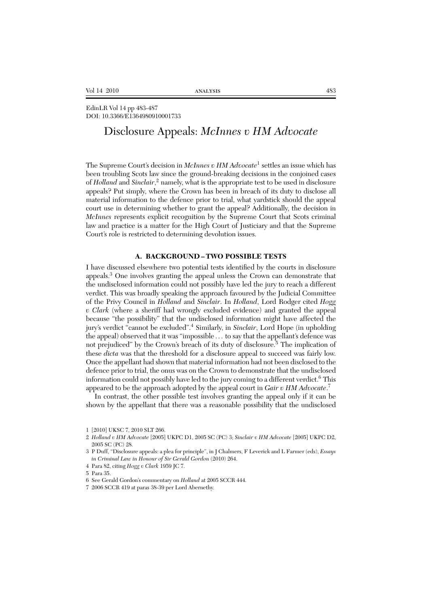EdinLR Vol 14 pp 483-487 DOI: 10.3366/E1364980910001733

# Disclosure Appeals: *McInnes v HM Advocate*

The Supreme Court's decision in *McInnes v HM Advocate*<sup>1</sup> settles an issue which has been troubling Scots law since the ground-breaking decisions in the conjoined cases of *Holland* and *Sinclair*, <sup>2</sup> namely, what is the appropriate test to be used in disclosure appeals? Put simply, where the Crown has been in breach of its duty to disclose all material information to the defence prior to trial, what yardstick should the appeal court use in determining whether to grant the appeal? Additionally, the decision in *McInnes* represents explicit recognition by the Supreme Court that Scots criminal law and practice is a matter for the High Court of Justiciary and that the Supreme Court's role is restricted to determining devolution issues.

### **A. BACKGROUND – TWO POSSIBLE TESTS**

I have discussed elsewhere two potential tests identified by the courts in disclosure appeals.3 One involves granting the appeal unless the Crown can demonstrate that the undisclosed information could not possibly have led the jury to reach a different verdict. This was broadly speaking the approach favoured by the Judicial Committee of the Privy Council in *Holland* and *Sinclair*. In *Holland*, Lord Rodger cited *Hogg v Clark* (where a sheriff had wrongly excluded evidence) and granted the appeal because "the possibility" that the undisclosed information might have affected the jury's verdict "cannot be excluded".<sup>4</sup> Similarly, in *Sinclair*, Lord Hope (in upholding the appeal) observed that it was "impossible . . . to say that the appellant's defence was not prejudiced" by the Crown's breach of its duty of disclosure.<sup>5</sup> The implication of these *dicta* was that the threshold for a disclosure appeal to succeed was fairly low. Once the appellant had shown that material information had not been disclosed to the defence prior to trial, the onus was on the Crown to demonstrate that the undisclosed information could not possibly have led to the jury coming to a different verdict.<sup>6</sup> This appeared to be the approach adopted by the appeal court in *Gair v HM Advocate*. 7

In contrast, the other possible test involves granting the appeal only if it can be shown by the appellant that there was a reasonable possibility that the undisclosed

<sup>1 [2010]</sup> UKSC 7, 2010 SLT 266.

<sup>2</sup> *Holland v HM Advocate* [2005] UKPC D1, 2005 SC (PC) 3; *Sinclair v HM Advocate* [2005] UKPC D2, 2005 SC (PC) 28.

<sup>3</sup> P Duff, "Disclosure appeals: a plea for principle", in J Chalmers, F Leverick and L Farmer (eds), *Essays in Criminal Law in Honour of Sir Gerald Gordon* (2010) 264.

<sup>4</sup> Para 82, citing *Hogg v Clark* 1959 JC 7.

<sup>5</sup> Para 35.

<sup>6</sup> See Gerald Gordon's commentary on *Holland* at 2005 SCCR 444.

<sup>7 2006</sup> SCCR 419 at paras 38-39 per Lord Abernethy.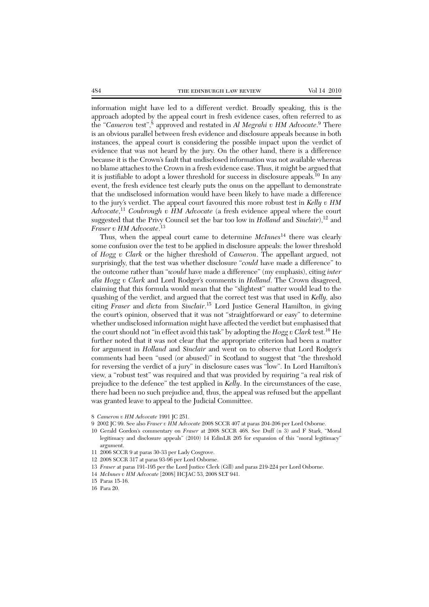information might have led to a different verdict. Broadly speaking, this is the approach adopted by the appeal court in fresh evidence cases, often referred to as the "*Cameron* test",<sup>8</sup> approved and restated in *Al Megrahi v HM Advocate.*<sup>9</sup> There is an obvious parallel between fresh evidence and disclosure appeals because in both instances, the appeal court is considering the possible impact upon the verdict of evidence that was not heard by the jury. On the other hand, there is a difference because it is the Crown's fault that undisclosed information was not available whereas no blame attaches to the Crown in a fresh evidence case. Thus, it might be argued that it is justifiable to adopt a lower threshold for success in disclosure appeals.<sup>10</sup> In any event, the fresh evidence test clearly puts the onus on the appellant to demonstrate that the undisclosed information would have been likely to have made a difference to the jury's verdict. The appeal court favoured this more robust test in *Kelly v HM Advocate*, <sup>11</sup> *Coubrough v HM Advocate* (a fresh evidence appeal where the court suggested that the Privy Council set the bar too low in *Holland* and *Sinclair*),<sup>12</sup> and *Fraser v HM Advocate*. 13

Thus, when the appeal court came to determine *McInnes*<sup>14</sup> there was clearly some confusion over the test to be applied in disclosure appeals: the lower threshold of *Hogg v Clark* or the higher threshold of *Cameron*. The appellant argued, not surprisingly, that the test was whether disclosure "*could* have made a difference" to the outcome rather than "*would* have made a difference" (my emphasis), citing *inter alia Hogg v Clark* and Lord Rodger's comments in *Holland*. The Crown disagreed, claiming that this formula would mean that the "slightest" matter would lead to the quashing of the verdict, and argued that the correct test was that used in *Kelly,* also citing *Fraser* and *dicta* from *Sinclair*. <sup>15</sup> Lord Justice General Hamilton, in giving the court's opinion, observed that it was not "straightforward or easy" to determine whether undisclosed information might have affected the verdict but emphasised that the court should not "in effect avoid this task" by adopting the *Hogg v Clark* test.16 He further noted that it was not clear that the appropriate criterion had been a matter for argument in *Holland* and *Sinclair* and went on to observe that Lord Rodger's comments had been "used (or abused)" in Scotland to suggest that "the threshold for reversing the verdict of a jury" in disclosure cases was "low". In Lord Hamilton's view, a "robust test" was required and that was provided by requiring "a real risk of prejudice to the defence" the test applied in *Kelly*. In the circumstances of the case, there had been no such prejudice and, thus, the appeal was refused but the appellant was granted leave to appeal to the Judicial Committee.

- 8 *Cameron v HM Advocate* 1991 JC 251.
- 9 2002 JC 99. See also *Fraser v HM Advocate* 2008 SCCR 407 at paras 204-206 per Lord Osborne.
- 10 Gerald Gordon's commentary on *Fraser* at 2008 SCCR 468. See Duff (n 3) and F Stark, "Moral legitimacy and disclosure appeals" (2010) 14 EdinLR 205 for expansion of this "moral legitimacy" argument.
- 11 2006 SCCR 9 at paras 30-33 per Lady Cosgrove.
- 12 2008 SCCR 317 at paras 93-96 per Lord Osborne.
- 13 *Fraser* at paras 191-195 per the Lord Justice Clerk (Gill) and paras 219-224 per Lord Osborne.
- 14 *McInnes v HM Advocate* [2008] HCJAC 53, 2008 SLT 941.
- 15 Paras 15-16.
- 16 Para 20.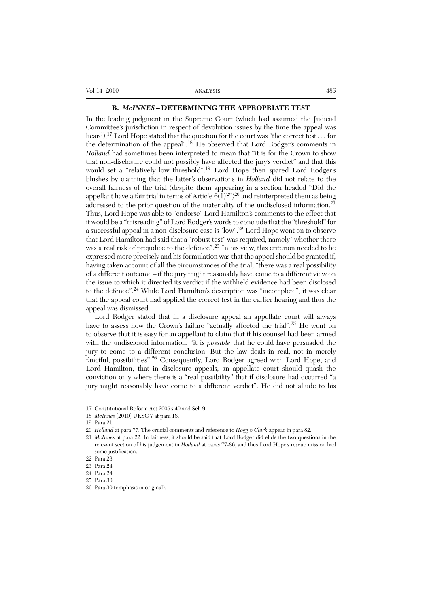### **B.** *McINNES* **– DETERMINING THE APPROPRIATE TEST**

In the leading judgment in the Supreme Court (which had assumed the Judicial Committee's jurisdiction in respect of devolution issues by the time the appeal was heard),<sup>17</sup> Lord Hope stated that the question for the court was "the correct test . . . for the determination of the appeal".<sup>18</sup> He observed that Lord Rodger's comments in *Holland* had sometimes been interpreted to mean that "it is for the Crown to show that non-disclosure could not possibly have affected the jury's verdict" and that this would set a "relatively low threshold".<sup>19</sup> Lord Hope then spared Lord Rodger's blushes by claiming that the latter's observations in *Holland* did not relate to the overall fairness of the trial (despite them appearing in a section headed "Did the appellant have a fair trial in terms of Article  $6(1)$ ?")<sup>20</sup> and reinterpreted them as being addressed to the prior question of the materiality of the undisclosed information.<sup>21</sup> Thus, Lord Hope was able to "endorse" Lord Hamilton's comments to the effect that it would be a "misreading" of Lord Rodger's words to conclude that the "threshold" for a successful appeal in a non-disclosure case is "low".22 Lord Hope went on to observe that Lord Hamilton had said that a "robust test" was required, namely "whether there was a real risk of prejudice to the defence".<sup>23</sup> In his view, this criterion needed to be expressed more precisely and his formulation was that the appeal should be granted if, having taken account of all the circumstances of the trial, "there was a real possibility of a different outcome – if the jury might reasonably have come to a different view on the issue to which it directed its verdict if the withheld evidence had been disclosed to the defence".<sup>24</sup> While Lord Hamilton's description was "incomplete", it was clear that the appeal court had applied the correct test in the earlier hearing and thus the appeal was dismissed.

Lord Rodger stated that in a disclosure appeal an appellate court will always have to assess how the Crown's failure "actually affected the trial".<sup>25</sup> He went on to observe that it is easy for an appellant to claim that if his counsel had been armed with the undisclosed information, "it is *possible* that he could have persuaded the jury to come to a different conclusion. But the law deals in real, not in merely fanciful, possibilities".<sup>26</sup> Consequently, Lord Rodger agreed with Lord Hope, and Lord Hamilton, that in disclosure appeals, an appellate court should quash the conviction only where there is a "real possibility" that if disclosure had occurred "a jury might reasonably have come to a different verdict". He did not allude to his

18 *McInnes* [2010] UKSC 7 at para 18.

21 *McInnes* at para 22. In fairness, it should be said that Lord Rodger did elide the two questions in the relevant section of his judgement in *Holland* at paras 77-86, and thus Lord Hope's rescue mission had some justification.

<sup>17</sup> Constitutional Reform Act 2005 s 40 and Sch 9.

<sup>19</sup> Para 21.

<sup>20</sup> *Holland* at para 77. The crucial comments and reference to *Hogg v Clark* appear in para 82.

<sup>22</sup> Para 23.

<sup>23</sup> Para 24.

<sup>24</sup> Para 24.

<sup>25</sup> Para 30.

<sup>26</sup> Para 30 (emphasis in original).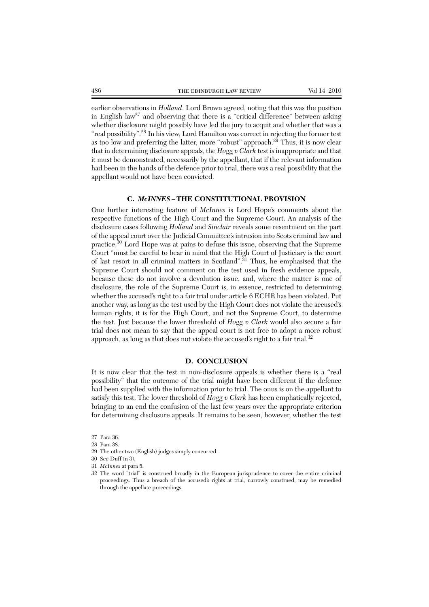earlier observations in *Holland*. Lord Brown agreed, noting that this was the position in English  $law^{27}$  and observing that there is a "critical difference" between asking whether disclosure might possibly have led the jury to acquit and whether that was a "real possibility".<sup>28</sup> In his view, Lord Hamilton was correct in rejecting the former test as too low and preferring the latter, more "robust" approach.<sup>29</sup> Thus, it is now clear that in determining disclosure appeals, the *Hogg v Clark* test is inappropriate and that it must be demonstrated, necessarily by the appellant, that if the relevant information had been in the hands of the defence prior to trial, there was a real possibility that the appellant would not have been convicted.

#### **C.** *McINNES* **– THE CONSTITUTIONAL PROVISION**

One further interesting feature of *McInnes* is Lord Hope's comments about the respective functions of the High Court and the Supreme Court. An analysis of the disclosure cases following *Holland* and *Sinclair* reveals some resentment on the part of the appeal court over the Judicial Committee's intrusion into Scots criminal law and practice.<sup>30</sup> Lord Hope was at pains to defuse this issue, observing that the Supreme Court "must be careful to bear in mind that the High Court of Justiciary is the court of last resort in all criminal matters in Scotland".<sup>31</sup> Thus, he emphasised that the Supreme Court should not comment on the test used in fresh evidence appeals, because these do not involve a devolution issue, and, where the matter is one of disclosure, the role of the Supreme Court is, in essence, restricted to determining whether the accused's right to a fair trial under article 6 ECHR has been violated. Put another way, as long as the test used by the High Court does not violate the accused's human rights, it is for the High Court, and not the Supreme Court, to determine the test. Just because the lower threshold of *Hogg v Clark* would also secure a fair trial does not mean to say that the appeal court is not free to adopt a more robust approach, as long as that does not violate the accused's right to a fair trial. $32$ 

#### **D. CONCLUSION**

It is now clear that the test in non-disclosure appeals is whether there is a "real possibility" that the outcome of the trial might have been different if the defence had been supplied with the information prior to trial. The onus is on the appellant to satisfy this test. The lower threshold of *Hogg v Clark* has been emphatically rejected, bringing to an end the confusion of the last few years over the appropriate criterion for determining disclosure appeals. It remains to be seen, however, whether the test

27 Para 36.

- 28 Para 38.
- 29 The other two (English) judges simply concurred.

31 *McInnes* at para 5.

<sup>30</sup> See Duff (n 3).

<sup>32</sup> The word "trial" is construed broadly in the European jurisprudence to cover the entire criminal proceedings. Thus a breach of the accused's rights at trial, narrowly construed, may be remedied through the appellate proceedings.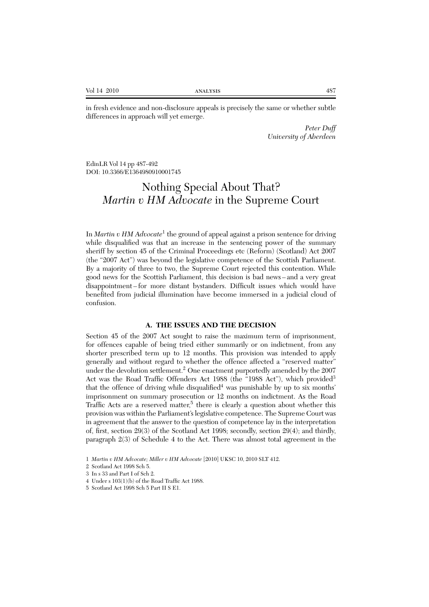in fresh evidence and non-disclosure appeals is precisely the same or whether subtle differences in approach will yet emerge.

> *Peter Duff University of Aberdeen*

EdinLR Vol 14 pp 487-492 DOI: 10.3366/E1364980910001745

# Nothing Special About That? *Martin v HM Advocate* in the Supreme Court

In *Martin v HM Advocate*<sup>1</sup> the ground of appeal against a prison sentence for driving while disqualified was that an increase in the sentencing power of the summary sheriff by section 45 of the Criminal Proceedings etc (Reform) (Scotland) Act 2007 (the "2007 Act") was beyond the legislative competence of the Scottish Parliament. By a majority of three to two, the Supreme Court rejected this contention. While good news for the Scottish Parliament, this decision is bad news – and a very great disappointment – for more distant bystanders. Difficult issues which would have benefited from judicial illumination have become immersed in a judicial cloud of confusion.

#### **A. THE ISSUES AND THE DECISION**

Section 45 of the 2007 Act sought to raise the maximum term of imprisonment, for offences capable of being tried either summarily or on indictment, from any shorter prescribed term up to 12 months. This provision was intended to apply generally and without regard to whether the offence affected a "reserved matter" under the devolution settlement.<sup>2</sup> One enactment purportedly amended by the 2007 Act was the Road Traffic Offenders Act 1988 (the "1988 Act"), which provided<sup>3</sup> that the offence of driving while disqualified<sup>4</sup> was punishable by up to six months' imprisonment on summary prosecution or 12 months on indictment. As the Road Traffic Acts are a reserved matter,<sup>5</sup> there is clearly a question about whether this provision was within the Parliament's legislative competence. The Supreme Court was in agreement that the answer to the question of competence lay in the interpretation of, first, section 29(3) of the Scotland Act 1998; secondly, section 29(4); and thirdly, paragraph 2(3) of Schedule 4 to the Act. There was almost total agreement in the

<sup>1</sup> *Martin v HM Advocate; Miller v HM Advocate* [2010] UKSC 10, 2010 SLT 412.

<sup>2</sup> Scotland Act 1998 Sch 5.

<sup>3</sup> In s 33 and Part I of Sch 2.

<sup>4</sup> Under s 103(1)(b) of the Road Traffic Act 1988.

<sup>5</sup> Scotland Act 1998 Sch 5 Part II S E1.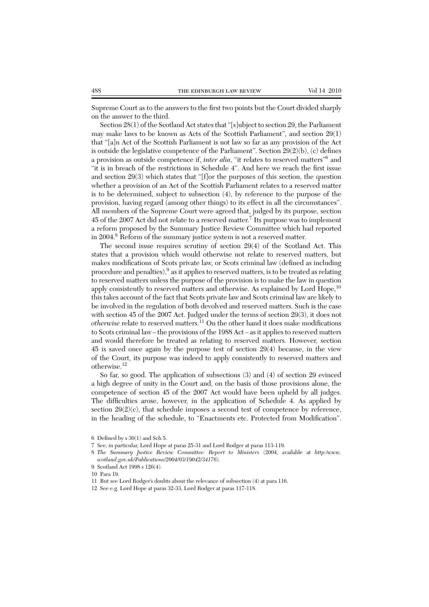Supreme Court as to the answers to the first two points but the Court divided sharply on the answer to the third.

Section 28(1) of the Scotland Act states that "[s]ubject to section 29, the Parliament may make laws to be known as Acts of the Scottish Parliament", and section 29(1) that "[a]n Act of the Scottish Parliament is not law so far as any provision of the Act is outside the legislative competence of the Parliament". Section  $29(2)(b)$ , (c) defines a provision as outside competence if, *inter alia*, "it relates to reserved matters"6 and "it is in breach of the restrictions in Schedule 4". And here we reach the first issue and section 29(3) which states that "[f]or the purposes of this section, the question whether a provision of an Act of the Scottish Parliament relates to a reserved matter is to be determined, subject to subsection (4), by reference to the purpose of the provision, having regard (among other things) to its effect in all the circumstances". All members of the Supreme Court were agreed that, judged by its purpose, section 45 of the 2007 Act did not relate to a reserved matter.7 Its purpose was to implement a reform proposed by the Summary Justice Review Committee which had reported in 2004.8 Reform of the summary justice system is not a reserved matter.

The second issue requires scrutiny of section 29(4) of the Scotland Act. This states that a provision which would otherwise not relate to reserved matters, but makes modifications of Scots private law, or Scots criminal law (defined as including procedure and penalties), $9$  as it applies to reserved matters, is to be treated as relating to reserved matters unless the purpose of the provision is to make the law in question apply consistently to reserved matters and otherwise. As explained by Lord Hope,  $^{10}$ this takes account of the fact that Scots private law and Scots criminal law are likely to be involved in the regulation of both devolved and reserved matters. Such is the case with section 45 of the 2007 Act. Judged under the terms of section 29(3), it does not *otherwise* relate to reserved matters.11 On the other hand it does make modifications to Scots criminal law – the provisions of the 1988 Act – as it applies to reserved matters and would therefore be treated as relating to reserved matters. However, section 45 is saved once again by the purpose test of section 29(4) because, in the view of the Court, its purpose was indeed to apply consistently to reserved matters and otherwise.12

So far, so good. The application of subsections (3) and (4) of section 29 evinced a high degree of unity in the Court and, on the basis of those provisions alone, the competence of section 45 of the 2007 Act would have been upheld by all judges. The difficulties arose, however, in the application of Schedule 4. As applied by section  $29(2)(c)$ , that schedule imposes a second test of competence by reference, in the heading of the schedule, to "Enactments etc. Protected from Modification".

<sup>6</sup> Defined by s 30(1) and Sch 5.

<sup>7</sup> See, in particular, Lord Hope at paras 25-31 and Lord Rodger at paras 113-119.

<sup>8</sup> *The Summary Justice Review Committee: Report to Ministers* (2004, available at *http:/www. scotland.gov.uk/Publications/2004/03/19042/34176*).

<sup>9</sup> Scotland Act 1998 s 126(4).

<sup>10</sup> Para 19.

<sup>11</sup> But see Lord Rodger's doubts about the relevance of subsection (4) at para 116.

<sup>12</sup> See e.g. Lord Hope at paras 32-33, Lord Rodger at paras 117-118.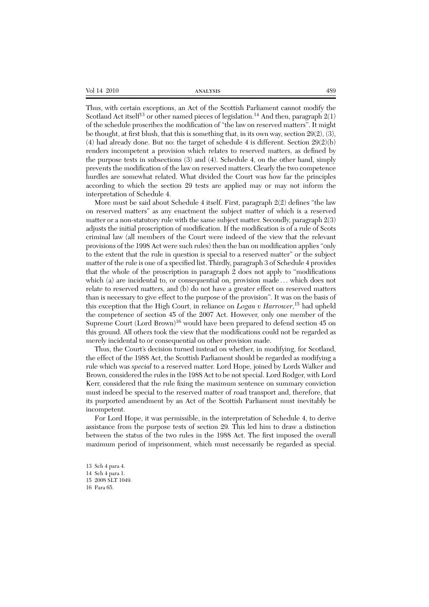| 489 |
|-----|
|     |

Thus, with certain exceptions, an Act of the Scottish Parliament cannot modify the Scotland Act itself<sup>13</sup> or other named pieces of legislation.<sup>14</sup> And then, paragraph  $2(1)$ of the schedule proscribes the modification of "the law on reserved matters". It might be thought, at first blush, that this is something that, in its own way, section 29(2), (3),  $(4)$  had already done. But no: the target of schedule 4 is different. Section  $29(2)(b)$ renders incompetent a provision which relates to reserved matters, as defined by the purpose tests in subsections (3) and (4). Schedule 4, on the other hand, simply prevents the modification of the law on reserved matters. Clearly the two competence hurdles are somewhat related. What divided the Court was how far the principles according to which the section 29 tests are applied may or may not inform the interpretation of Schedule 4.

More must be said about Schedule 4 itself. First, paragraph 2(2) defines "the law on reserved matters" as any enactment the subject matter of which is a reserved matter or a non-statutory rule with the same subject matter. Secondly, paragraph  $2(3)$ adjusts the initial proscription of modification. If the modification is of a rule of Scots criminal law (all members of the Court were indeed of the view that the relevant provisions of the 1998 Act were such rules) then the ban on modification applies "only to the extent that the rule in question is special to a reserved matter" or the subject matter of the rule is one of a specified list. Thirdly, paragraph 3 of Schedule 4 provides that the whole of the proscription in paragraph 2 does not apply to "modifications which (a) are incidental to, or consequential on, provision made . . . which does not relate to reserved matters, and (b) do not have a greater effect on reserved matters than is necessary to give effect to the purpose of the provision". It was on the basis of this exception that the High Court, in reliance on *Logan v Harrower*, <sup>15</sup> had upheld the competence of section 45 of the 2007 Act. However, only one member of the Supreme Court  $(Lord Brown)^{16}$  would have been prepared to defend section 45 on this ground. All others took the view that the modifications could not be regarded as merely incidental to or consequential on other provision made.

Thus, the Court's decision turned instead on whether, in modifying, for Scotland, the effect of the 1988 Act, the Scottish Parliament should be regarded as modifying a rule which was *special* to a reserved matter. Lord Hope, joined by Lords Walker and Brown, considered the rules in the 1988 Act to be not special. Lord Rodger, with Lord Kerr, considered that the rule fixing the maximum sentence on summary conviction must indeed be special to the reserved matter of road transport and, therefore, that its purported amendment by an Act of the Scottish Parliament must inevitably be incompetent.

For Lord Hope, it was permissible, in the interpretation of Schedule 4, to derive assistance from the purpose tests of section 29. This led him to draw a distinction between the status of the two rules in the 1988 Act. The first imposed the overall maximum period of imprisonment, which must necessarily be regarded as special.

<sup>13</sup> Sch 4 para 4. 14 Sch 4 para 1. 15 2008 SLT 1049. 16 Para 65.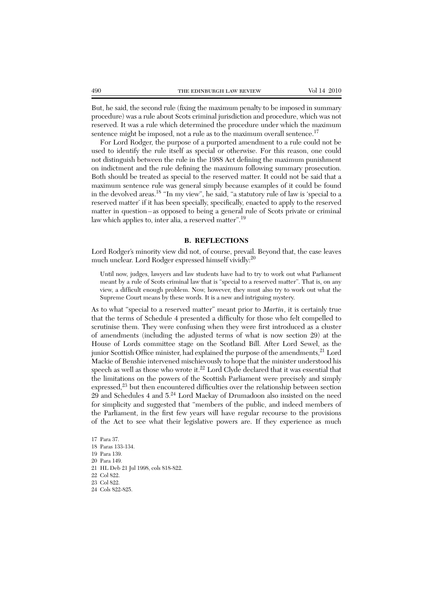But, he said, the second rule (fixing the maximum penalty to be imposed in summary procedure) was a rule about Scots criminal jurisdiction and procedure, which was not reserved. It was a rule which determined the procedure under which the maximum sentence might be imposed, not a rule as to the maximum overall sentence.<sup>17</sup>

For Lord Rodger, the purpose of a purported amendment to a rule could not be used to identify the rule itself as special or otherwise. For this reason, one could not distinguish between the rule in the 1988 Act defining the maximum punishment on indictment and the rule defining the maximum following summary prosecution. Both should be treated as special to the reserved matter. It could not be said that a maximum sentence rule was general simply because examples of it could be found in the devolved areas.18 "In my view", he said, "a statutory rule of law is 'special to a reserved matter' if it has been specially, specifically, enacted to apply to the reserved matter in question – as opposed to being a general rule of Scots private or criminal law which applies to, inter alia, a reserved matter".<sup>19</sup>

#### **B. REFLECTIONS**

Lord Rodger's minority view did not, of course, prevail. Beyond that, the case leaves much unclear. Lord Rodger expressed himself vividly:<sup>20</sup>

Until now, judges, lawyers and law students have had to try to work out what Parliament meant by a rule of Scots criminal law that is "special to a reserved matter". That is, on any view, a difficult enough problem. Now, however, they must also try to work out what the Supreme Court means by these words. It is a new and intriguing mystery.

As to what "special to a reserved matter" meant prior to *Martin*, it is certainly true that the terms of Schedule 4 presented a difficulty for those who felt compelled to scrutinise them. They were confusing when they were first introduced as a cluster of amendments (including the adjusted terms of what is now section 29) at the House of Lords committee stage on the Scotland Bill. After Lord Sewel, as the junior Scottish Office minister, had explained the purpose of the amendments,<sup>21</sup> Lord Mackie of Benshie intervened mischievously to hope that the minister understood his speech as well as those who wrote it.22 Lord Clyde declared that it was essential that the limitations on the powers of the Scottish Parliament were precisely and simply  $ext{expressed}<sup>23</sup>$  but then encountered difficulties over the relationship between section 29 and Schedules 4 and 5.<sup>24</sup> Lord Mackay of Drumadoon also insisted on the need for simplicity and suggested that "members of the public, and indeed members of the Parliament, in the first few years will have regular recourse to the provisions of the Act to see what their legislative powers are. If they experience as much

17 Para 37. 18 Paras 133-134. 19 Para 139. 20 Para 149. 21 HL Deb 21 Jul 1998, cols 818-822. 22 Col 822. 23 Col 822. 24 Cols 822-825.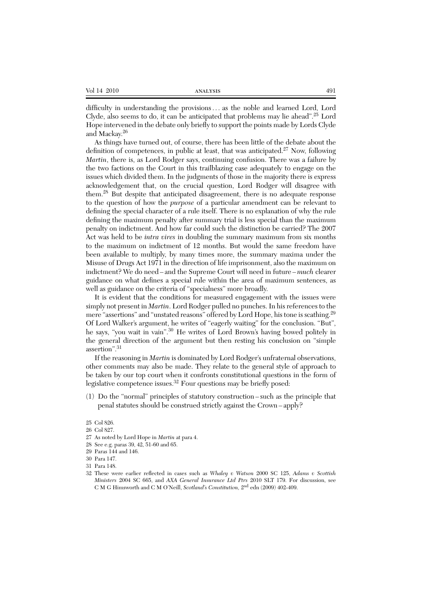| Vol 14 2010<br>ANALYSIS | 491 |
|-------------------------|-----|
|-------------------------|-----|

difficulty in understanding the provisions . . . as the noble and learned Lord, Lord Clyde, also seems to do, it can be anticipated that problems may lie ahead".<sup>25</sup> Lord Hope intervened in the debate only briefly to support the points made by Lords Clyde and Mackay.<sup>26</sup>

As things have turned out, of course, there has been little of the debate about the definition of competences, in public at least, that was anticipated.<sup>27</sup> Now, following *Martin*, there is, as Lord Rodger says, continuing confusion. There was a failure by the two factions on the Court in this trailblazing case adequately to engage on the issues which divided them. In the judgments of those in the majority there is express acknowledgement that, on the crucial question, Lord Rodger will disagree with them.<sup>28</sup> But despite that anticipated disagreement, there is no adequate response to the question of how the *purpose* of a particular amendment can be relevant to defining the special character of a rule itself. There is no explanation of why the rule defining the maximum penalty after summary trial is less special than the maximum penalty on indictment. And how far could such the distinction be carried? The 2007 Act was held to be *intra vires* in doubling the summary maximum from six months to the maximum on indictment of 12 months. But would the same freedom have been available to multiply, by many times more, the summary maxima under the Misuse of Drugs Act 1971 in the direction of life imprisonment, also the maximum on indictment? We do need – and the Supreme Court will need in future – *much* clearer guidance on what defines a special rule within the area of maximum sentences, as well as guidance on the criteria of "specialness" more broadly.

It is evident that the conditions for measured engagement with the issues were simply not present in *Martin*. Lord Rodger pulled no punches. In his references to the mere "assertions" and "unstated reasons" offered by Lord Hope, his tone is scathing.<sup>29</sup> Of Lord Walker's argument, he writes of "eagerly waiting" for the conclusion. "But", he says, "you wait in vain".<sup>30</sup> He writes of Lord Brown's having bowed politely in the general direction of the argument but then resting his conclusion on "simple assertion".31

If the reasoning in *Martin* is dominated by Lord Rodger's unfraternal observations, other comments may also be made. They relate to the general style of approach to be taken by our top court when it confronts constitutional questions in the form of legislative competence issues.<sup>32</sup> Four questions may be briefly posed:

(1) Do the "normal" principles of statutory construction – such as the principle that penal statutes should be construed strictly against the Crown – apply?

- 26 Col 827.
- 27 As noted by Lord Hope in *Martin* at para 4.
- 28 See e.g. paras 39, 42, 51-60 and 65.
- 29 Paras 144 and 146.
- 30 Para 147.
- 31 Para 148.

<sup>25</sup> Col 826.

<sup>32</sup> These were earlier reflected in cases such as *Whaley v Watson* 2000 SC 125, *Adams v Scottish Ministers* 2004 SC 665, and *AXA General Insurance Ltd Ptrs* 2010 SLT 179. For discussion, see C M G Himsworth and C M O'Neill, *Scotland's Constitution,* 2nd edn (2009) 402-409.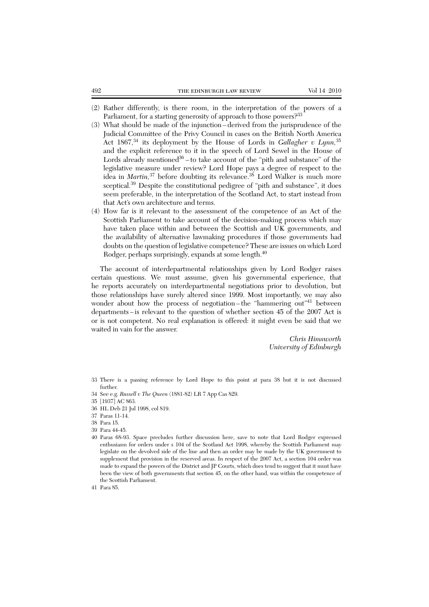- (2) Rather differently, is there room, in the interpretation of the powers of a Parliament, for a starting generosity of approach to those powers?<sup>33</sup>
- (3) What should be made of the injunction derived from the jurisprudence of the Judicial Committee of the Privy Council in cases on the British North America Act 1867,<sup>34</sup> its deployment by the House of Lords in *Gallagher v Lynn*,<sup>35</sup> and the explicit reference to it in the speech of Lord Sewel in the House of Lords already mentioned<sup>36</sup> – to take account of the "pith and substance" of the legislative measure under review? Lord Hope pays a degree of respect to the idea in *Martin*,<sup>37</sup> before doubting its relevance.<sup>38</sup> Lord Walker is much more sceptical.<sup>39</sup> Despite the constitutional pedigree of "pith and substance", it does seem preferable, in the interpretation of the Scotland Act, to start instead from that Act's own architecture and terms.
- (4) How far is it relevant to the assessment of the competence of an Act of the Scottish Parliament to take account of the decision-making process which may have taken place within and between the Scottish and UK governments, and the availability of alternative lawmaking procedures if those governments had doubts on the question of legislative competence? These are issues on which Lord Rodger, perhaps surprisingly, expands at some length.<sup>40</sup>

The account of interdepartmental relationships given by Lord Rodger raises certain questions. We must assume, given his governmental experience, that he reports accurately on interdepartmental negotiations prior to devolution, but those relationships have surely altered since 1999. Most importantly, we may also wonder about how the process of negotiation-the "hammering out"<sup>41</sup> between departments – is relevant to the question of whether section 45 of the 2007 Act is or is not competent. No real explanation is offered: it might even be said that we waited in vain for the answer.

> *Chris Himsworth University of Edinburgh*

- 33 There is a passing reference by Lord Hope to this point at para 38 but it is not discussed further.
- 34 See e.g. *Russell v The Queen* (1881-82) LR 7 App Cas 829.

- 36 HL Deb 21 Jul 1998, col 819.
- 37 Paras 11-14.
- 38 Para 15.
- 39 Para 44-45.
- 40 Paras 68-93. Space precludes further discussion here, save to note that Lord Rodger expressed enthusiasm for orders under s 104 of the Scotland Act 1998, whereby the Scottish Parliament may legislate on the devolved side of the line and then an order may be made by the UK government to supplement that provision in the reserved areas. In respect of the 2007 Act, a section 104 order was made to expand the powers of the District and JP Courts, which does tend to suggest that it must have been the view of both governments that section 45, on the other hand, was within the competence of the Scottish Parliament.

41 Para 85.

<sup>35 [1937]</sup> AC 863.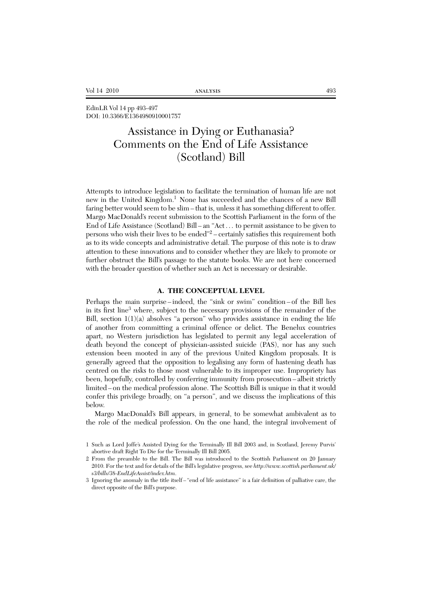EdinLR Vol 14 pp 493-497 DOI: 10.3366/E1364980910001757

# Assistance in Dying or Euthanasia? Comments on the End of Life Assistance (Scotland) Bill

Attempts to introduce legislation to facilitate the termination of human life are not new in the United Kingdom.<sup>1</sup> None has succeeded and the chances of a new Bill faring better would seem to be slim – that is, unless it has something different to offer. Margo MacDonald's recent submission to the Scottish Parliament in the form of the End of Life Assistance (Scotland) Bill – an "Act . . . to permit assistance to be given to persons who wish their lives to be ended"<sup>2</sup> – certainly satisfies this requirement both as to its wide concepts and administrative detail. The purpose of this note is to draw attention to these innovations and to consider whether they are likely to promote or further obstruct the Bill's passage to the statute books. We are not here concerned with the broader question of whether such an Act is necessary or desirable.

#### **A. THE CONCEPTUAL LEVEL**

Perhaps the main surprise – indeed, the "sink or swim" condition – of the Bill lies in its first line<sup>3</sup> where, subject to the necessary provisions of the remainder of the Bill, section  $1(1)(a)$  absolves "a person" who provides assistance in ending the life of another from committing a criminal offence or delict. The Benelux countries apart, no Western jurisdiction has legislated to permit any legal acceleration of death beyond the concept of physician-assisted suicide (PAS), nor has any such extension been mooted in any of the previous United Kingdom proposals. It is generally agreed that the opposition to legalising any form of hastening death has centred on the risks to those most vulnerable to its improper use. Impropriety has been, hopefully, controlled by conferring immunity from prosecution – albeit strictly limited – on the medical profession alone. The Scottish Bill is unique in that it would confer this privilege broadly, on "a person", and we discuss the implications of this below.

Margo MacDonald's Bill appears, in general, to be somewhat ambivalent as to the role of the medical profession. On the one hand, the integral involvement of

<sup>1</sup> Such as Lord Joffe's Assisted Dying for the Terminally Ill Bill 2003 and, in Scotland, Jeremy Purvis' abortive draft Right To Die for the Terminally Ill Bill 2005.

<sup>2</sup> From the preamble to the Bill. The Bill was introduced to the Scottish Parliament on 20 January 2010. For the text and for details of the Bill's legislative progress, see *http://www.scottish.parliament.uk/ s3/bills/38-EndLifeAssist/index.htm*.

<sup>3</sup> Ignoring the anomaly in the title itself – "end of life assistance" is a fair definition of palliative care, the direct opposite of the Bill's purpose.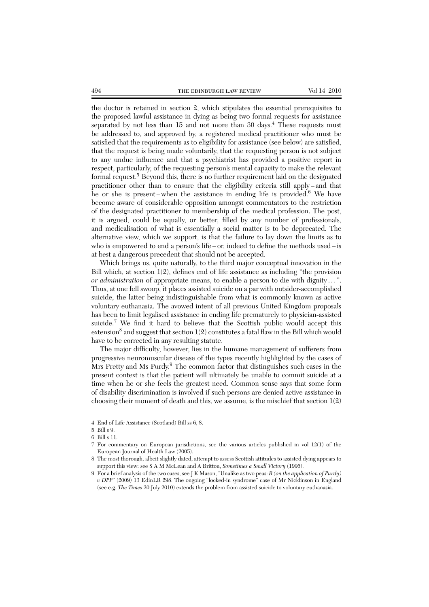the doctor is retained in section 2, which stipulates the essential prerequisites to the proposed lawful assistance in dying as being two formal requests for assistance separated by not less than  $15$  and not more than  $30 \text{ days}^4$ . These requests must be addressed to, and approved by, a registered medical practitioner who must be satisfied that the requirements as to eligibility for assistance (see below) are satisfied, that the request is being made voluntarily, that the requesting person is not subject to any undue influence and that a psychiatrist has provided a positive report in respect, particularly, of the requesting person's mental capacity to make the relevant formal request.<sup>5</sup> Beyond this, there is no further requirement laid on the designated practitioner other than to ensure that the eligibility criteria still apply – and that he or she is present-when the assistance in ending life is provided.<sup>6</sup> We have become aware of considerable opposition amongst commentators to the restriction of the designated practitioner to membership of the medical profession. The post, it is argued, could be equally, or better, filled by any number of professionals, and medicalisation of what is essentially a social matter is to be deprecated. The alternative view, which we support, is that the failure to lay down the limits as to who is empowered to end a person's life – or, indeed to define the methods used – is at best a dangerous precedent that should not be accepted.

Which brings us, quite naturally, to the third major conceptual innovation in the Bill which, at section 1(2), defines end of life assistance as including "the provision *or administration* of appropriate means, to enable a person to die with dignity . . . ". Thus, at one fell swoop, it places assisted suicide on a par with outsider-accomplished suicide, the latter being indistinguishable from what is commonly known as active voluntary euthanasia. The avowed intent of all previous United Kingdom proposals has been to limit legalised assistance in ending life prematurely to physician-assisted suicide.<sup>7</sup> We find it hard to believe that the Scottish public would accept this extension<sup>8</sup> and suggest that section  $1(2)$  constitutes a fatal flaw in the Bill which would have to be corrected in any resulting statute.

The major difficulty, however, lies in the humane management of sufferers from progressive neuromuscular disease of the types recently highlighted by the cases of Mrs Pretty and Ms Purdy.<sup>9</sup> The common factor that distinguishes such cases in the present context is that the patient will ultimately be unable to commit suicide at a time when he or she feels the greatest need. Common sense says that some form of disability discrimination is involved if such persons are denied active assistance in choosing their moment of death and this, we assume, is the mischief that section 1(2)

<sup>4</sup> End of Life Assistance (Scotland) Bill ss 6, 8.

<sup>5</sup> Bill s 9.

<sup>6</sup> Bill s 11.

<sup>7</sup> For commentary on European jurisdictions, see the various articles published in vol 12(1) of the European Journal of Health Law (2005).

<sup>8</sup> The most thorough, albeit slightly dated, attempt to assess Scottish attitudes to assisted dying appears to support this view: see S A M McLean and A Britton, *Sometimes a Small Victory* (1996).

<sup>9</sup> For a brief analysis of the two cases, see J K Mason, "Unalike as two peas: *R (on the application of Purdy) v DPP*" (2009) 13 EdinLR 298. The ongoing "locked-in syndrome" case of Mr Nicklinson in England (see e.g. *The Times* 20 July 2010) extends the problem from assisted suicide to voluntary euthanasia.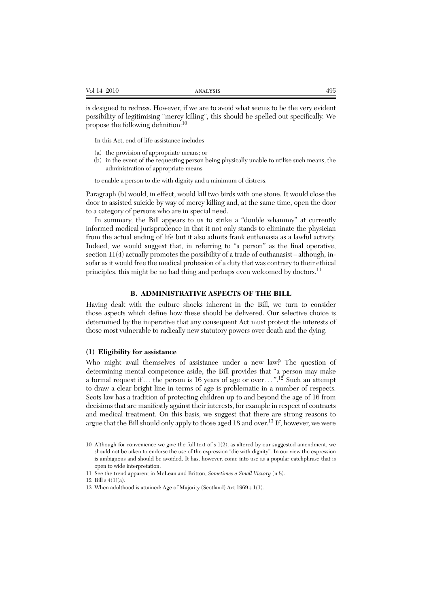is designed to redress. However, if we are to avoid what seems to be the very evident possibility of legitimising "mercy killing", this should be spelled out specifically. We propose the following definition:<sup>10</sup>

In this Act, end of life assistance includes –

- (a) the provision of appropriate means; or
- (b) in the event of the requesting person being physically unable to utilise such means, the administration of appropriate means

to enable a person to die with dignity and a minimum of distress.

Paragraph (b) would, in effect, would kill two birds with one stone. It would close the door to assisted suicide by way of mercy killing and, at the same time, open the door to a category of persons who are in special need.

In summary, the Bill appears to us to strike a "double whammy" at currently informed medical jurisprudence in that it not only stands to eliminate the physician from the actual ending of life but it also admits frank euthanasia as a lawful activity. Indeed, we would suggest that, in referring to "a person" as the final operative, section  $11(4)$  actually promotes the possibility of a trade of euthanasist – although, insofar as it would free the medical profession of a duty that was contrary to their ethical principles, this might be no bad thing and perhaps even welcomed by doctors.<sup>11</sup>

#### **B. ADMINISTRATIVE ASPECTS OF THE BILL**

Having dealt with the culture shocks inherent in the Bill, we turn to consider those aspects which define how these should be delivered. Our selective choice is determined by the imperative that any consequent Act must protect the interests of those most vulnerable to radically new statutory powers over death and the dying.

#### **(1) Eligibility for assistance**

Who might avail themselves of assistance under a new law? The question of determining mental competence aside, the Bill provides that "a person may make a formal request if ... the person is 16 years of age or over...".<sup>12</sup> Such an attempt to draw a clear bright line in terms of age is problematic in a number of respects. Scots law has a tradition of protecting children up to and beyond the age of 16 from decisions that are manifestly against their interests, for example in respect of contracts and medical treatment. On this basis, we suggest that there are strong reasons to argue that the Bill should only apply to those aged 18 and over.<sup>13</sup> If, however, we were

<sup>10</sup> Although for convenience we give the full text of s 1(2), as altered by our suggested amendment, we should not be taken to endorse the use of the expression "die with dignity". In our view the expression is ambiguous and should be avoided. It has, however, come into use as a popular catchphrase that is open to wide interpretation.

<sup>11</sup> See the trend apparent in McLean and Britton, *Sometimes a Small Victory* (n 8).

<sup>12.</sup> Bill s  $4(1)(a)$ .

<sup>13</sup> When adulthood is attained: Age of Majority (Scotland) Act 1969 s 1(1).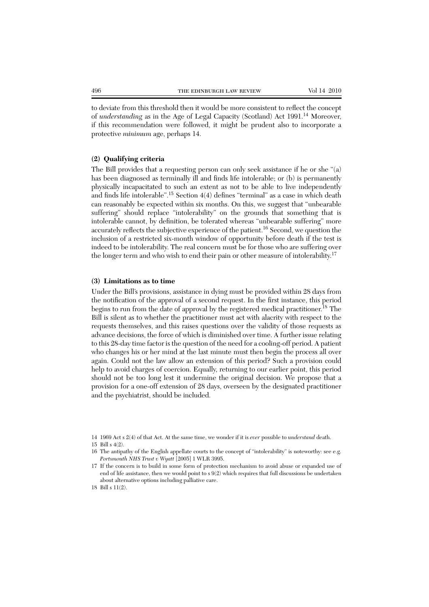to deviate from this threshold then it would be more consistent to reflect the concept of *understanding* as in the Age of Legal Capacity (Scotland) Act 1991.<sup>14</sup> Moreover, if this recommendation were followed, it might be prudent also to incorporate a protective *minimum* age, perhaps 14.

#### **(2) Qualifying criteria**

The Bill provides that a requesting person can only seek assistance if he or she "(a) has been diagnosed as terminally ill and finds life intolerable; or (b) is permanently physically incapacitated to such an extent as not to be able to live independently and finds life intolerable".<sup>15</sup> Section 4(4) defines "terminal" as a case in which death can reasonably be expected within six months. On this, we suggest that "unbearable suffering" should replace "intolerability" on the grounds that something that is intolerable cannot, by definition, be tolerated whereas "unbearable suffering" more accurately reflects the subjective experience of the patient.<sup>16</sup> Second, we question the inclusion of a restricted six-month window of opportunity before death if the test is indeed to be intolerability. The real concern must be for those who are suffering over the longer term and who wish to end their pain or other measure of intolerability.<sup>17</sup>

#### **(3) Limitations as to time**

Under the Bill's provisions, assistance in dying must be provided within 28 days from the notification of the approval of a second request. In the first instance, this period begins to run from the date of approval by the registered medical practitioner.<sup>18</sup> The Bill is silent as to whether the practitioner must act with alacrity with respect to the requests themselves, and this raises questions over the validity of those requests as advance decisions, the force of which is diminished over time. A further issue relating to this 28-day time factor is the question of the need for a cooling-off period. A patient who changes his or her mind at the last minute must then begin the process all over again. Could not the law allow an extension of this period? Such a provision could help to avoid charges of coercion. Equally, returning to our earlier point, this period should not be too long lest it undermine the original decision. We propose that a provision for a one-off extension of 28 days, overseen by the designated practitioner and the psychiatrist, should be included.

<sup>14 1969</sup> Act s 2(4) of that Act. At the same time, we wonder if it is *ever* possible to *understand* death. 15 Bill s  $4(2)$ .

<sup>16</sup> The antipathy of the English appellate courts to the concept of "intolerability" is noteworthy: see e.g. *Portsmouth NHS Trust v Wyatt* [2005] 1 WLR 3995.

<sup>17</sup> If the concern is to build in some form of protection mechanism to avoid abuse or expanded use of end of life assistance, then we would point to s 9(2) which requires that full discussions be undertaken about alternative options including palliative care.

<sup>18</sup> Bill s 11(2).